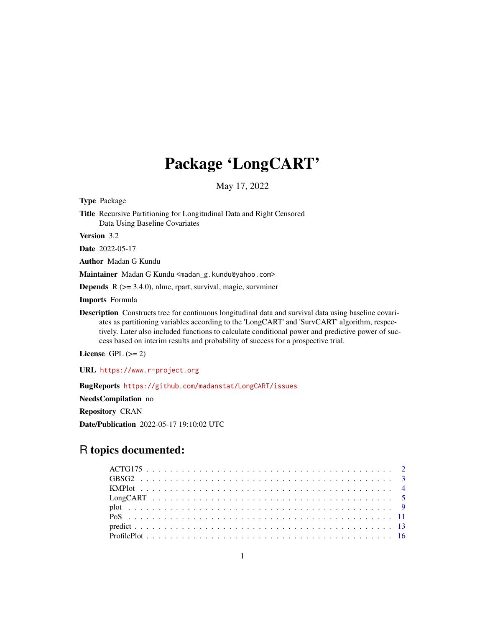# Package 'LongCART'

May 17, 2022

Type Package Title Recursive Partitioning for Longitudinal Data and Right Censored Data Using Baseline Covariates

Version 3.2

Date 2022-05-17

Author Madan G Kundu

Maintainer Madan G Kundu <madan\_g.kundu@yahoo.com>

Depends R (>= 3.4.0), nlme, rpart, survival, magic, survminer

Imports Formula

Description Constructs tree for continuous longitudinal data and survival data using baseline covariates as partitioning variables according to the 'LongCART' and 'SurvCART' algorithm, respectively. Later also included functions to calculate conditional power and predictive power of success based on interim results and probability of success for a prospective trial.

License GPL  $(>= 2)$ 

URL <https://www.r-project.org>

BugReports <https://github.com/madanstat/LongCART/issues>

NeedsCompilation no

Repository CRAN

Date/Publication 2022-05-17 19:10:02 UTC

# R topics documented: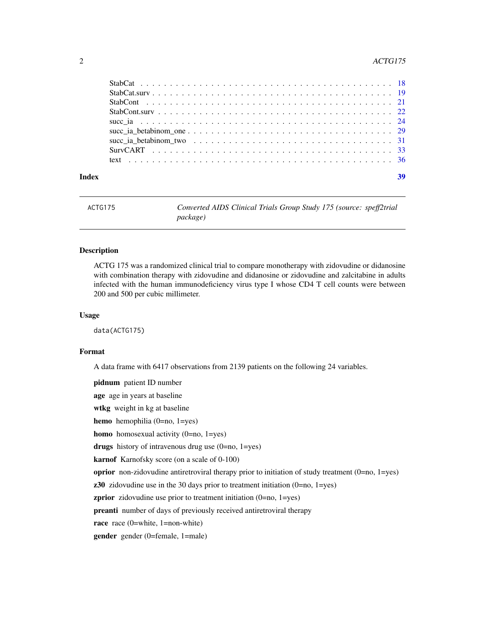#### <span id="page-1-0"></span>2 ACTG175

| Index |                                                                                                                    | 39 |
|-------|--------------------------------------------------------------------------------------------------------------------|----|
|       |                                                                                                                    |    |
|       |                                                                                                                    |    |
|       | succ ia betabinom two $\ldots \ldots \ldots \ldots \ldots \ldots \ldots \ldots \ldots \ldots \ldots \ldots \ldots$ |    |
|       |                                                                                                                    |    |
|       |                                                                                                                    |    |
|       |                                                                                                                    |    |
|       |                                                                                                                    |    |
|       |                                                                                                                    |    |
|       |                                                                                                                    |    |

ACTG175 *Converted AIDS Clinical Trials Group Study 175 (source: speff2trial package)*

#### Description

ACTG 175 was a randomized clinical trial to compare monotherapy with zidovudine or didanosine with combination therapy with zidovudine and didanosine or zidovudine and zalcitabine in adults infected with the human immunodeficiency virus type I whose CD4 T cell counts were between 200 and 500 per cubic millimeter.

#### Usage

data(ACTG175)

# Format

A data frame with 6417 observations from 2139 patients on the following 24 variables.

pidnum patient ID number

age age in years at baseline

wtkg weight in kg at baseline

hemo hemophilia (0=no, 1=yes)

homo homosexual activity (0=no, 1=yes)

drugs history of intravenous drug use  $(0=no, 1=yes)$ 

karnof Karnofsky score (on a scale of 0-100)

oprior non-zidovudine antiretroviral therapy prior to initiation of study treatment (0=no, 1=yes)

 $z30$  zidovudine use in the 30 days prior to treatment initiation (0=no, 1=yes)

zprior zidovudine use prior to treatment initiation (0=no, 1=yes)

preanti number of days of previously received antiretroviral therapy

race race (0=white, 1=non-white)

gender gender (0=female, 1=male)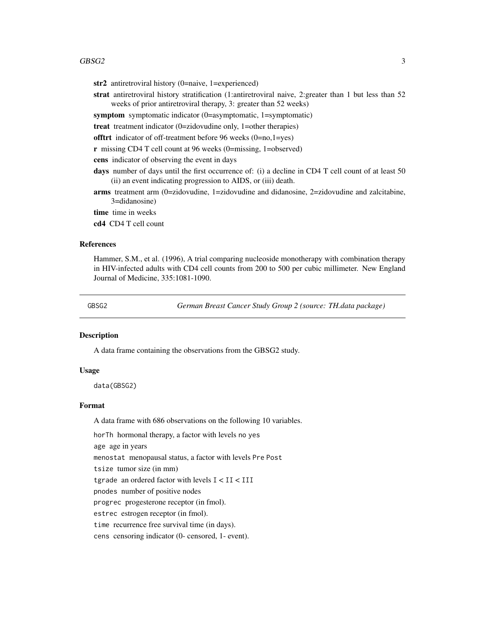#### <span id="page-2-0"></span> $GBSG2$  3

str2 antiretroviral history (0=naive, 1=experienced)

strat antiretroviral history stratification (1:antiretroviral naive, 2:greater than 1 but less than 52 weeks of prior antiretroviral therapy, 3: greater than 52 weeks)

symptom symptomatic indicator (0=asymptomatic, 1=symptomatic)

treat treatment indicator (0=zidovudine only, 1=other therapies)

offtrt indicator of off-treatment before 96 weeks (0=no,1=yes)

r missing CD4 T cell count at 96 weeks (0=missing, 1=observed)

cens indicator of observing the event in days

days number of days until the first occurrence of: (i) a decline in CD4 T cell count of at least 50 (ii) an event indicating progression to AIDS, or (iii) death.

arms treatment arm (0=zidovudine, 1=zidovudine and didanosine, 2=zidovudine and zalcitabine, 3=didanosine)

time time in weeks

cd4 CD4 T cell count

#### References

Hammer, S.M., et al. (1996), A trial comparing nucleoside monotherapy with combination therapy in HIV-infected adults with CD4 cell counts from 200 to 500 per cubic millimeter. New England Journal of Medicine, 335:1081-1090.

GBSG2 *German Breast Cancer Study Group 2 (source: TH.data package)*

#### Description

A data frame containing the observations from the GBSG2 study.

#### Usage

data(GBSG2)

#### Format

A data frame with 686 observations on the following 10 variables.

horTh hormonal therapy, a factor with levels no yes

age age in years

menostat menopausal status, a factor with levels Pre Post

tsize tumor size (in mm)

tgrade an ordered factor with levels I < II < III

pnodes number of positive nodes

progrec progesterone receptor (in fmol).

estrec estrogen receptor (in fmol).

time recurrence free survival time (in days).

cens censoring indicator (0- censored, 1- event).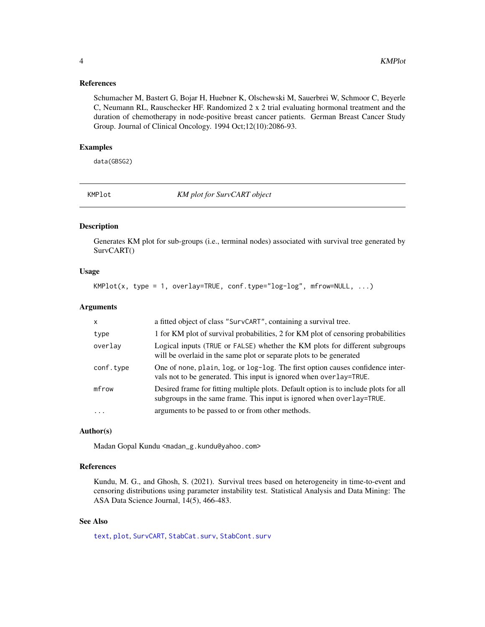#### <span id="page-3-0"></span>References

Schumacher M, Bastert G, Bojar H, Huebner K, Olschewski M, Sauerbrei W, Schmoor C, Beyerle C, Neumann RL, Rauschecker HF. Randomized 2 x 2 trial evaluating hormonal treatment and the duration of chemotherapy in node-positive breast cancer patients. German Breast Cancer Study Group. Journal of Clinical Oncology. 1994 Oct;12(10):2086-93.

#### Examples

data(GBSG2)

<span id="page-3-1"></span>KMPlot *KM plot for SurvCART object*

# Description

Generates KM plot for sub-groups (i.e., terminal nodes) associated with survival tree generated by SurvCART()

#### Usage

 $KMPlot(x, type = 1, overlap=TRUE, conf-type="log-log", mfrom=NULL, ...)$ 

#### Arguments

| $\times$  | a fitted object of class "SurvCART", containing a survival tree.                                                                                              |
|-----------|---------------------------------------------------------------------------------------------------------------------------------------------------------------|
| type      | 1 for KM plot of survival probabilities, 2 for KM plot of censoring probabilities                                                                             |
| overlay   | Logical inputs (TRUE or FALSE) whether the KM plots for different subgroups<br>will be overlaid in the same plot or separate plots to be generated            |
| conf.type | One of none, plain, log, or log-log. The first option causes confidence inter-<br>vals not to be generated. This input is ignored when overlay=TRUE.          |
| mfrow     | Desired frame for fitting multiple plots. Default option is to include plots for all<br>subgroups in the same frame. This input is ignored when overlay=TRUE. |
|           | arguments to be passed to or from other methods.                                                                                                              |

# Author(s)

Madan Gopal Kundu <madan\_g.kundu@yahoo.com>

# References

Kundu, M. G., and Ghosh, S. (2021). Survival trees based on heterogeneity in time-to-event and censoring distributions using parameter instability test. Statistical Analysis and Data Mining: The ASA Data Science Journal, 14(5), 466-483.

### See Also

[text](#page-35-1), [plot](#page-8-1), [SurvCART](#page-32-1), [StabCat.surv](#page-18-1), [StabCont.surv](#page-21-1)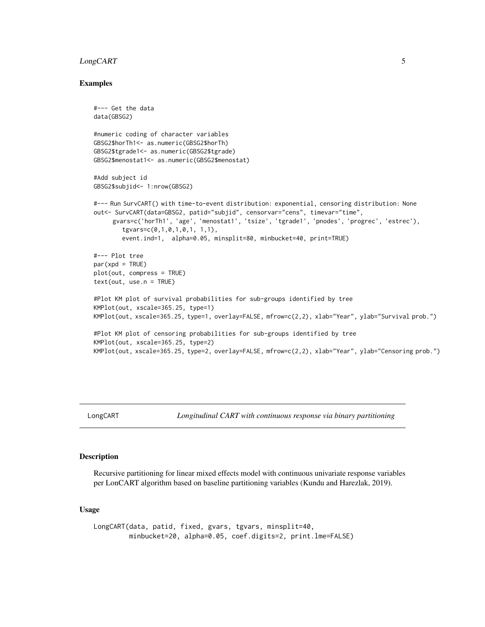# <span id="page-4-0"></span>LongCART 5

#### Examples

```
#--- Get the data
data(GBSG2)
#numeric coding of character variables
GBSG2$horTh1<- as.numeric(GBSG2$horTh)
GBSG2$tgrade1<- as.numeric(GBSG2$tgrade)
GBSG2$menostat1<- as.numeric(GBSG2$menostat)
#Add subject id
GBSG2$subjid<- 1:nrow(GBSG2)
#--- Run SurvCART() with time-to-event distribution: exponential, censoring distribution: None
out<- SurvCART(data=GBSG2, patid="subjid", censorvar="cens", timevar="time",
     gvars=c('horTh1', 'age', 'menostat1', 'tsize', 'tgrade1', 'pnodes', 'progrec', 'estrec'),
        tgvars=c(0,1,0,1,0,1, 1,1),
        event.ind=1, alpha=0.05, minsplit=80, minbucket=40, print=TRUE)
#--- Plot tree
par(xpd = TRUE)plot(out, compress = TRUE)
text(out, use.n = TRUE)
#Plot KM plot of survival probabilities for sub-groups identified by tree
KMPlot(out, xscale=365.25, type=1)
KMPlot(out, xscale=365.25, type=1, overlay=FALSE, mfrow=c(2,2), xlab="Year", ylab="Survival prob.")
#Plot KM plot of censoring probabilities for sub-groups identified by tree
KMPlot(out, xscale=365.25, type=2)
KMPlot(out, xscale=365.25, type=2, overlay=FALSE, mfrow=c(2,2), xlab="Year", ylab="Censoring prob.")
```
<span id="page-4-1"></span>LongCART *Longitudinal CART with continuous response via binary partitioning*

# Description

Recursive partitioning for linear mixed effects model with continuous univariate response variables per LonCART algorithm based on baseline partitioning variables (Kundu and Harezlak, 2019).

#### Usage

LongCART(data, patid, fixed, gvars, tgvars, minsplit=40, minbucket=20, alpha=0.05, coef.digits=2, print.lme=FALSE)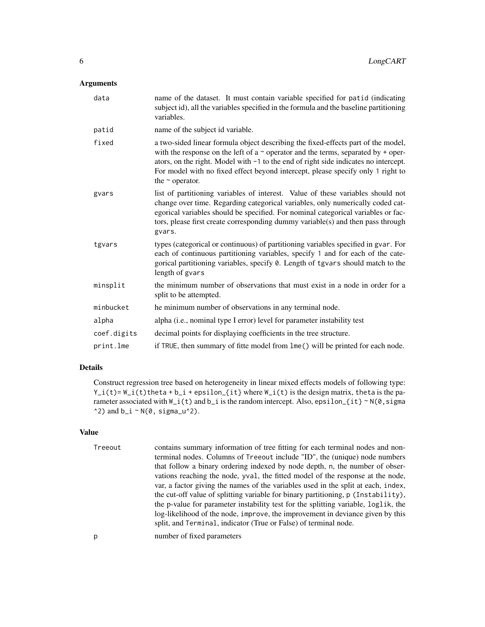# Arguments

| data        | name of the dataset. It must contain variable specified for patid (indicating<br>subject id), all the variables specified in the formula and the baseline partitioning<br>variables.                                                                                                                                                                                          |
|-------------|-------------------------------------------------------------------------------------------------------------------------------------------------------------------------------------------------------------------------------------------------------------------------------------------------------------------------------------------------------------------------------|
| patid       | name of the subject id variable.                                                                                                                                                                                                                                                                                                                                              |
| fixed       | a two-sided linear formula object describing the fixed-effects part of the model,<br>with the response on the left of a $\sim$ operator and the terms, separated by + oper-<br>ators, on the right. Model with -1 to the end of right side indicates no intercept.<br>For model with no fixed effect beyond intercept, please specify only 1 right to<br>the $\sim$ operator. |
| gvars       | list of partitioning variables of interest. Value of these variables should not<br>change over time. Regarding categorical variables, only numerically coded cat-<br>egorical variables should be specified. For nominal categorical variables or fac-<br>tors, please first create corresponding dummy variable(s) and then pass through<br>gvars.                           |
| tgvars      | types (categorical or continuous) of partitioning variables specified in gvar. For<br>each of continuous partitioning variables, specify 1 and for each of the cate-<br>gorical partitioning variables, specify 0. Length of tgvars should match to the<br>length of gvars                                                                                                    |
| minsplit    | the minimum number of observations that must exist in a node in order for a<br>split to be attempted.                                                                                                                                                                                                                                                                         |
| minbucket   | he minimum number of observations in any terminal node.                                                                                                                                                                                                                                                                                                                       |
| alpha       | alpha (i.e., nominal type I error) level for parameter instability test                                                                                                                                                                                                                                                                                                       |
| coef.digits | decimal points for displaying coefficients in the tree structure.                                                                                                                                                                                                                                                                                                             |
| print.lme   | if TRUE, then summary of fitte model from lme() will be printed for each node.                                                                                                                                                                                                                                                                                                |

# Details

Construct regression tree based on heterogeneity in linear mixed effects models of following type:  $Y_i(i) = W_i(i)$  theta + b\_i + epsilon\_{it} where  $W_i(i)$  is the design matrix, theta is the parameter associated with  $W_i(t)$  and  $b_i$  is the random intercept. Also, epsilon\_{it} ~ N(0, sigma  $\text{A}$ 2) and b\_i ~ N(0, sigma\_u $\text{A}$ 2).

#### Value

| Treeout | contains summary information of tree fitting for each terminal nodes and non-<br>terminal nodes. Columns of Treeout include "ID", the (unique) node numbers<br>that follow a binary ordering indexed by node depth, n, the number of obser-<br>vations reaching the node, yval, the fitted model of the response at the node,<br>var, a factor giving the names of the variables used in the split at each, index,<br>the cut-off value of splitting variable for binary partitioning, p (Instability),<br>the p-value for parameter instability test for the splitting variable, loglik, the<br>log-likelihood of the node, improve, the improvement in deviance given by this |
|---------|---------------------------------------------------------------------------------------------------------------------------------------------------------------------------------------------------------------------------------------------------------------------------------------------------------------------------------------------------------------------------------------------------------------------------------------------------------------------------------------------------------------------------------------------------------------------------------------------------------------------------------------------------------------------------------|
| p       | split, and Terminal, indicator (True or False) of terminal node.<br>number of fixed parameters                                                                                                                                                                                                                                                                                                                                                                                                                                                                                                                                                                                  |
|         |                                                                                                                                                                                                                                                                                                                                                                                                                                                                                                                                                                                                                                                                                 |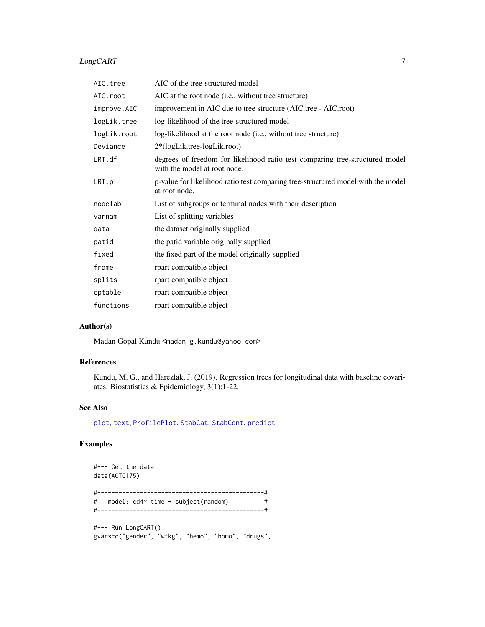# <span id="page-6-0"></span>LongCART 7

| AIC.tree    | AIC of the tree-structured model                                                                             |
|-------------|--------------------------------------------------------------------------------------------------------------|
| AIC.root    | AIC at the root node (i.e., without tree structure)                                                          |
| improve.AIC | improvement in AIC due to tree structure (AIC.tree - AIC.root)                                               |
| logLik.tree | log-likelihood of the tree-structured model                                                                  |
| logLik.root | log-likelihood at the root node (i.e., without tree structure)                                               |
| Deviance    | 2*(logLik.tree-logLik.root)                                                                                  |
| LRT.df      | degrees of freedom for likelihood ratio test comparing tree-structured model<br>with the model at root node. |
| LRT.p       | p-value for likelihood ratio test comparing tree-structured model with the model<br>at root node.            |
| nodelab     | List of subgroups or terminal nodes with their description                                                   |
| varnam      | List of splitting variables                                                                                  |
| data        | the dataset originally supplied                                                                              |
| patid       | the patid variable originally supplied                                                                       |
| fixed       | the fixed part of the model originally supplied                                                              |
| frame       | rpart compatible object                                                                                      |
| splits      | rpart compatible object                                                                                      |
| cptable     | rpart compatible object                                                                                      |
| functions   | rpart compatible object                                                                                      |
|             |                                                                                                              |

# Author(s)

Madan Gopal Kundu <madan\_g.kundu@yahoo.com>

# References

Kundu, M. G., and Harezlak, J. (2019). Regression trees for longitudinal data with baseline covariates. Biostatistics & Epidemiology, 3(1):1-22.

# See Also

[plot](#page-8-1), [text](#page-35-1), [ProfilePlot](#page-15-1), [StabCat](#page-17-1), [StabCont](#page-20-1), [predict](#page-12-1)

# Examples

#--- Get the data data(ACTG175) #-----------------------------------------------# # model: cd4~ time + subject(random) # #-----------------------------------------------# #--- Run LongCART()

gvars=c("gender", "wtkg", "hemo", "homo", "drugs",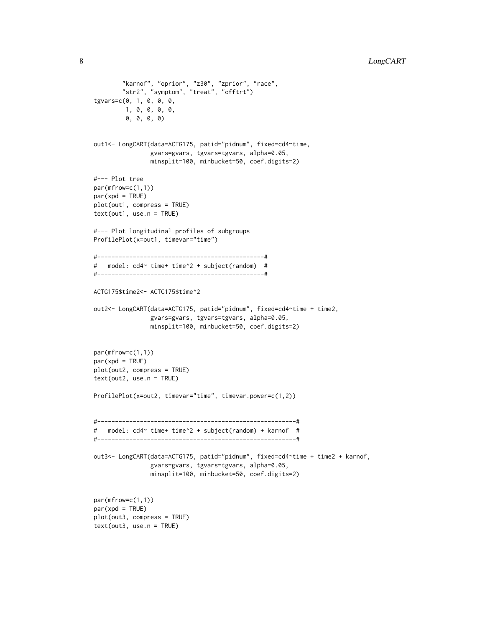```
"karnof", "oprior", "z30", "zprior", "race",
        "str2", "symptom", "treat", "offtrt")
tgvars=c(0, 1, 0, 0, 0,
        1, 0, 0, 0, 0,
        0, 0, 0, 0)
out1<- LongCART(data=ACTG175, patid="pidnum", fixed=cd4~time,
                gvars=gvars, tgvars=tgvars, alpha=0.05,
                minsplit=100, minbucket=50, coef.digits=2)
#--- Plot tree
par(mfrow=c(1,1))
par(xpd = TRUE)plot(out1, compress = TRUE)
text(out1, use.n = TRUE)
#--- Plot longitudinal profiles of subgroups
ProfilePlot(x=out1, timevar="time")
#-----------------------------------------------#
# model: cd4~ time+ time^2 + subject(random) #
#-----------------------------------------------#
ACTG175$time2<- ACTG175$time^2
out2<- LongCART(data=ACTG175, patid="pidnum", fixed=cd4~time + time2,
                gvars=gvars, tgvars=tgvars, alpha=0.05,
                minsplit=100, minbucket=50, coef.digits=2)
par(mfrow=c(1,1))
par(xpd = TRUE)plot(out2, compress = TRUE)
text(out2, use.n = TRUE)
ProfilePlot(x=out2, timevar="time", timevar.power=c(1,2))
#--------------------------------------------------------#
# model: cd4~ time+ time^2 + subject(random) + karnof #
#--------------------------------------------------------#
out3<- LongCART(data=ACTG175, patid="pidnum", fixed=cd4~time + time2 + karnof,
                gvars=gvars, tgvars=tgvars, alpha=0.05,
                minsplit=100, minbucket=50, coef.digits=2)
par(mfrow=c(1,1))
par(xpd = TRUE)plot(out3, compress = TRUE)
text(out3, use.n = TRUE)
```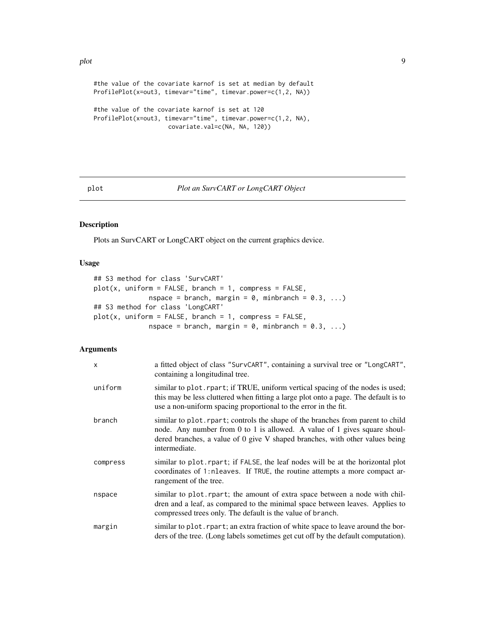<span id="page-8-0"></span>#the value of the covariate karnof is set at median by default ProfilePlot(x=out3, timevar="time", timevar.power=c(1,2, NA)) #the value of the covariate karnof is set at 120

ProfilePlot(x=out3, timevar="time", timevar.power=c(1,2, NA), covariate.val=c(NA, NA, 120))

### <span id="page-8-1"></span>plot *Plot an SurvCART or LongCART Object*

# Description

Plots an SurvCART or LongCART object on the current graphics device.

#### Usage

```
## S3 method for class 'SurvCART'
plot(x, uniform = FALSE, branch = 1, compress = FALSE,nspace = branch, margin = 0, minbranch = 0.3, ...)
## S3 method for class 'LongCART'
plot(x, uniform = FALSE, branch = 1, compress = FALSE,nspace = branch, margin = 0, minbranch = 0.3, ...)
```
# Arguments

| X        | a fitted object of class "SurvCART", containing a survival tree or "LongCART",<br>containing a longitudinal tree.                                                                                                                                             |
|----------|---------------------------------------------------------------------------------------------------------------------------------------------------------------------------------------------------------------------------------------------------------------|
| uniform  | similar to plot. rpart; if TRUE, uniform vertical spacing of the nodes is used;<br>this may be less cluttered when fitting a large plot onto a page. The default is to<br>use a non-uniform spacing proportional to the error in the fit.                     |
| branch   | similar to plot. rpart; controls the shape of the branches from parent to child<br>node. Any number from 0 to 1 is allowed. A value of 1 gives square shoul-<br>dered branches, a value of 0 give V shaped branches, with other values being<br>intermediate. |
| compress | similar to plot. rpart; if FALSE, the leaf nodes will be at the horizontal plot<br>coordinates of 1:nleaves. If TRUE, the routine attempts a more compact ar-<br>rangement of the tree.                                                                       |
| nspace   | similar to plot. rpart; the amount of extra space between a node with chil-<br>dren and a leaf, as compared to the minimal space between leaves. Applies to<br>compressed trees only. The default is the value of branch.                                     |
| margin   | similar to plot report; an extra fraction of white space to leave around the bor-<br>ders of the tree. (Long labels sometimes get cut off by the default computation).                                                                                        |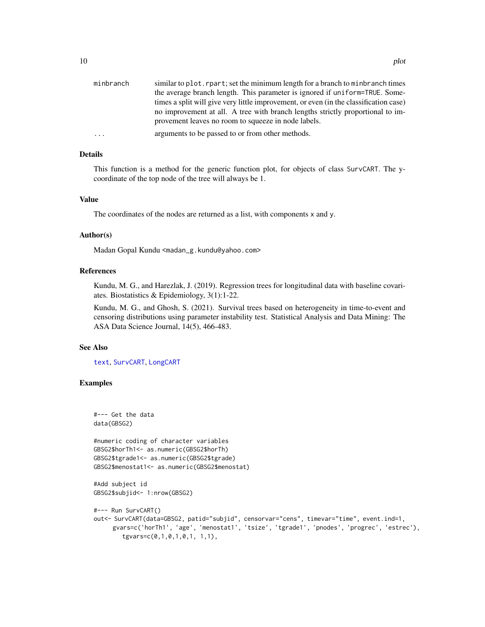<span id="page-9-0"></span>

| minbranch | similar to plot. rpart; set the minimum length for a branch to minbranch times        |
|-----------|---------------------------------------------------------------------------------------|
|           | the average branch length. This parameter is ignored if uniform=TRUE. Some-           |
|           | times a split will give very little improvement, or even (in the classification case) |
|           | no improvement at all. A tree with branch lengths strictly proportional to im-        |
|           | provement leaves no room to squeeze in node labels.                                   |
| $\cdots$  | arguments to be passed to or from other methods.                                      |

#### Details

This function is a method for the generic function plot, for objects of class SurvCART. The ycoordinate of the top node of the tree will always be 1.

#### Value

The coordinates of the nodes are returned as a list, with components x and y.

#### Author(s)

Madan Gopal Kundu <madan\_g.kundu@yahoo.com>

#### References

Kundu, M. G., and Harezlak, J. (2019). Regression trees for longitudinal data with baseline covariates. Biostatistics & Epidemiology, 3(1):1-22.

Kundu, M. G., and Ghosh, S. (2021). Survival trees based on heterogeneity in time-to-event and censoring distributions using parameter instability test. Statistical Analysis and Data Mining: The ASA Data Science Journal, 14(5), 466-483.

# See Also

[text](#page-35-1), [SurvCART](#page-32-1), [LongCART](#page-4-1)

#### Examples

```
#--- Get the data
data(GBSG2)
#numeric coding of character variables
GBSG2$horTh1<- as.numeric(GBSG2$horTh)
GBSG2$tgrade1<- as.numeric(GBSG2$tgrade)
GBSG2$menostat1<- as.numeric(GBSG2$menostat)
#Add subject id
GBSG2$subjid<- 1:nrow(GBSG2)
#--- Run SurvCART()
out<- SurvCART(data=GBSG2, patid="subjid", censorvar="cens", timevar="time", event.ind=1,
     gvars=c('horTh1', 'age', 'menostat1', 'tsize', 'tgrade1', 'pnodes', 'progrec', 'estrec'),
        tgvars=c(0,1,0,1,0,1, 1,1),
```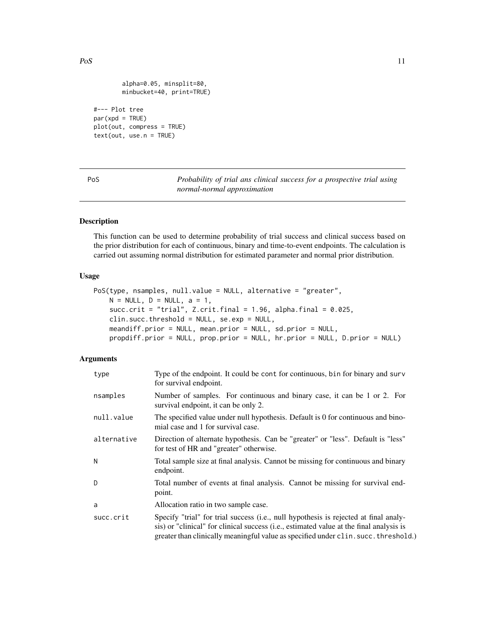```
alpha=0.05, minsplit=80,
minbucket=40, print=TRUE)
```
#--- Plot tree par(xpd = TRUE) plot(out, compress = TRUE) text(out, use.n = TRUE)

<span id="page-10-1"></span>PoS *Probability of trial ans clinical success for a prospective trial using normal-normal approximation*

# Description

This function can be used to determine probability of trial success and clinical success based on the prior distribution for each of continuous, binary and time-to-event endpoints. The calculation is carried out assuming normal distribution for estimated parameter and normal prior distribution.

### Usage

```
PoS(type, nsamples, null.value = NULL, alternative = "greater",
   N = NULL, D = NULL, a = 1,
   succ.crit = "trial", Z.crit.final = 1.96, alpha.final = 0.025,
   clin.succ.threshold = NULL, se.exp = NULL,
   meandiff.prior = NULL, mean.prior = NULL, sd.prior = NULL,
   propdiff.prior = NULL, prop.prior = NULL, hr.prior = NULL, D.prior = NULL)
```
#### Arguments

| type        | Type of the endpoint. It could be cont for continuous, bin for binary and surv<br>for survival endpoint.                                                                                                                                                               |
|-------------|------------------------------------------------------------------------------------------------------------------------------------------------------------------------------------------------------------------------------------------------------------------------|
| nsamples    | Number of samples. For continuous and binary case, it can be 1 or 2. For<br>survival endpoint, it can be only 2.                                                                                                                                                       |
| null.value  | The specified value under null hypothesis. Default is 0 for continuous and bino-<br>mial case and 1 for survival case.                                                                                                                                                 |
| alternative | Direction of alternate hypothesis. Can be "greater" or "less". Default is "less"<br>for test of HR and "greater" otherwise.                                                                                                                                            |
| Ν           | Total sample size at final analysis. Cannot be missing for continuous and binary<br>endpoint.                                                                                                                                                                          |
| D           | Total number of events at final analysis. Cannot be missing for survival end-<br>point.                                                                                                                                                                                |
| a           | Allocation ratio in two sample case.                                                                                                                                                                                                                                   |
| succ.crit   | Specify "trial" for trial success (i.e., null hypothesis is rejected at final analy-<br>sis) or "clinical" for clinical success (i.e., estimated value at the final analysis is<br>greater than clinically meaningful value as specified under clin. succ. threshold.) |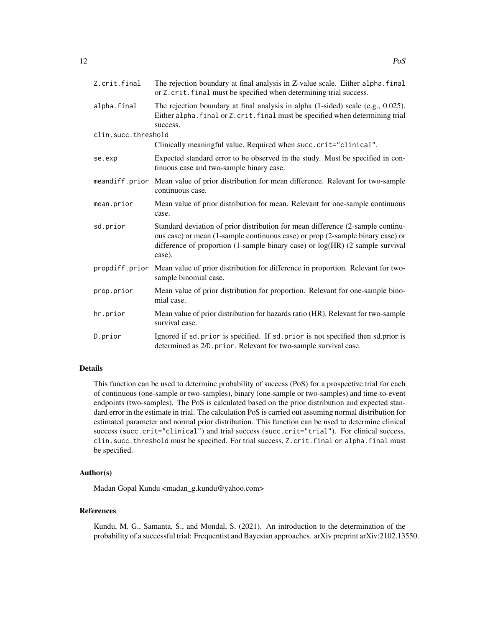| Z.crit.final        | The rejection boundary at final analysis in Z-value scale. Either alpha. final<br>or Z. crit. final must be specified when determining trial success.                                                                                                        |
|---------------------|--------------------------------------------------------------------------------------------------------------------------------------------------------------------------------------------------------------------------------------------------------------|
| alpha.final         | The rejection boundary at final analysis in alpha (1-sided) scale (e.g., 0.025).<br>Either alpha. final or Z. crit. final must be specified when determining trial                                                                                           |
| clin.succ.threshold | success.                                                                                                                                                                                                                                                     |
|                     | Clinically meaningful value. Required when succ.crit="clinical".                                                                                                                                                                                             |
| se.exp              | Expected standard error to be observed in the study. Must be specified in con-<br>tinuous case and two-sample binary case.                                                                                                                                   |
|                     | meandiff.prior Mean value of prior distribution for mean difference. Relevant for two-sample<br>continuous case.                                                                                                                                             |
| mean.prior          | Mean value of prior distribution for mean. Relevant for one-sample continuous<br>case.                                                                                                                                                                       |
| sd.prior            | Standard deviation of prior distribution for mean difference (2-sample continu-<br>ous case) or mean (1-sample continuous case) or prop (2-sample binary case) or<br>difference of proportion (1-sample binary case) or log(HR) (2 sample survival<br>case). |
| propdiff.prior      | Mean value of prior distribution for difference in proportion. Relevant for two-<br>sample binomial case.                                                                                                                                                    |
| prop.prior          | Mean value of prior distribution for proportion. Relevant for one-sample bino-<br>mial case.                                                                                                                                                                 |
| hr.prior            | Mean value of prior distribution for hazards ratio (HR). Relevant for two-sample<br>survival case.                                                                                                                                                           |
| D.prior             | Ignored if sd. prior is specified. If sd. prior is not specified then sd. prior is<br>determined as 2/D. prior. Relevant for two-sample survival case.                                                                                                       |

# Details

This function can be used to determine probability of success (PoS) for a prospective trial for each of continuous (one-sample or two-samples), binary (one-sample or two-samples) and time-to-event endpoints (two-samples). The PoS is calculated based on the prior distribution and expected standard error in the estimate in trial. The calculation PoS is carried out assuming normal distribution for estimated parameter and normal prior distribution. This function can be used to determine clinical success (succ.crit="clinical") and trial success (succ.crit="trial"). For clinical success, clin.succ.threshold must be specified. For trial success, Z.crit.final or alpha.final must be specified.

# Author(s)

Madan Gopal Kundu <madan\_g.kundu@yahoo.com>

# References

Kundu, M. G., Samanta, S., and Mondal, S. (2021). An introduction to the determination of the probability of a successful trial: Frequentist and Bayesian approaches. arXiv preprint arXiv:2102.13550.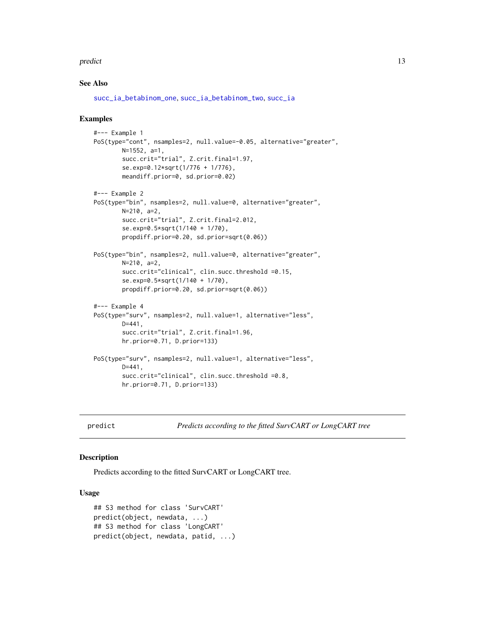#### <span id="page-12-0"></span>predict the contract of the contract of the contract of the contract of the contract of the contract of the contract of the contract of the contract of the contract of the contract of the contract of the contract of the co

#### See Also

[succ\\_ia\\_betabinom\\_one](#page-28-1), [succ\\_ia\\_betabinom\\_two](#page-30-1), [succ\\_ia](#page-23-1)

#### Examples

```
#--- Example 1
PoS(type="cont", nsamples=2, null.value=-0.05, alternative="greater",
       N=1552, a=1,
        succ.crit="trial", Z.crit.final=1.97,
        se.exp=0.12*sqrt(1/776 + 1/776),
       meandiff.prior=0, sd.prior=0.02)
#--- Example 2
PoS(type="bin", nsamples=2, null.value=0, alternative="greater",
       N=210, a=2,
        succ.crit="trial", Z.crit.final=2.012,
        se.exp=0.5*sqrt(1/140 + 1/70),
        propdiff.prior=0.20, sd.prior=sqrt(0.06))
PoS(type="bin", nsamples=2, null.value=0, alternative="greater",
        N=210, a=2,
        succ.crit="clinical", clin.succ.threshold =0.15,
        se.exp=0.5*sqrt(1/140 + 1/70),
        propdiff.prior=0.20, sd.prior=sqrt(0.06))
#--- Example 4
PoS(type="surv", nsamples=2, null.value=1, alternative="less",
        D=441,
        succ.crit="trial", Z.crit.final=1.96,
        hr.prior=0.71, D.prior=133)
PoS(type="surv", nsamples=2, null.value=1, alternative="less",
       D=441,
        succ.crit="clinical", clin.succ.threshold =0.8,
        hr.prior=0.71, D.prior=133)
```
<span id="page-12-1"></span>predict *Predicts according to the fitted SurvCART or LongCART tree*

#### Description

Predicts according to the fitted SurvCART or LongCART tree.

#### Usage

```
## S3 method for class 'SurvCART'
predict(object, newdata, ...)
## S3 method for class 'LongCART'
predict(object, newdata, patid, ...)
```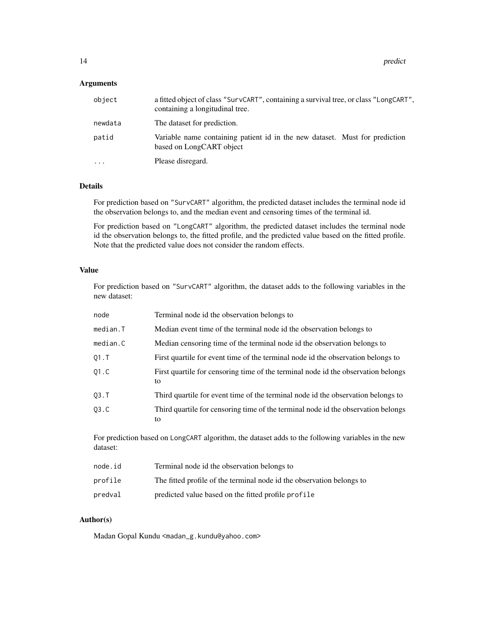14 predict the predict of the state of the state of the state of the predict of the state of the state of the state of the state of the state of the state of the state of the state of the state of the state of the state of

#### Arguments

| object   | a fitted object of class "SurvCART", containing a survival tree, or class "LongCART",<br>containing a longitudinal tree. |
|----------|--------------------------------------------------------------------------------------------------------------------------|
| newdata  | The dataset for prediction.                                                                                              |
| patid    | Variable name containing patient id in the new dataset. Must for prediction<br>based on LongCART object                  |
| $\cdots$ | Please disregard.                                                                                                        |

#### Details

For prediction based on "SurvCART" algorithm, the predicted dataset includes the terminal node id the observation belongs to, and the median event and censoring times of the terminal id.

For prediction based on "LongCART" algorithm, the predicted dataset includes the terminal node id the observation belongs to, the fitted profile, and the predicted value based on the fitted profile. Note that the predicted value does not consider the random effects.

# Value

For prediction based on "SurvCART" algorithm, the dataset adds to the following variables in the new dataset:

| node     | Terminal node id the observation belongs to                                             |
|----------|-----------------------------------------------------------------------------------------|
| median.T | Median event time of the terminal node id the observation belongs to                    |
| median.C | Median censoring time of the terminal node id the observation belongs to                |
| $01.$ T  | First quartile for event time of the terminal node id the observation belongs to        |
| 01.C     | First quartile for censoring time of the terminal node id the observation belongs<br>to |
| 03. T    | Third quartile for event time of the terminal node id the observation belongs to        |
| 03.C     | Third quartile for censoring time of the terminal node id the observation belongs<br>to |

For prediction based on LongCART algorithm, the dataset adds to the following variables in the new dataset:

| node.id | Terminal node id the observation belongs to                           |
|---------|-----------------------------------------------------------------------|
| profile | The fitted profile of the terminal node id the observation belongs to |
| predval | predicted value based on the fitted profile profile                   |

#### Author(s)

Madan Gopal Kundu <madan\_g.kundu@yahoo.com>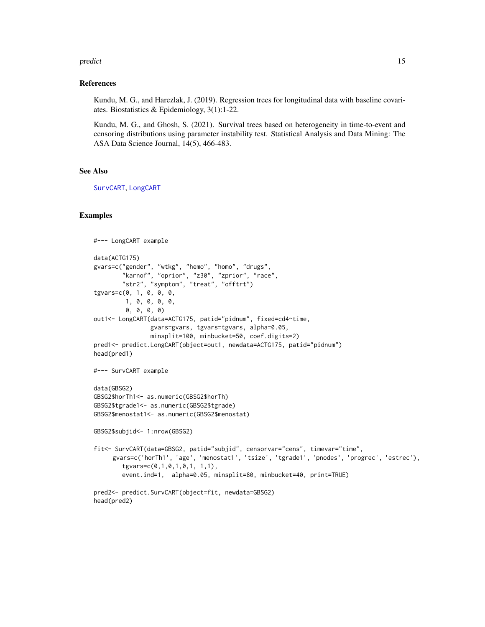#### <span id="page-14-0"></span>predict the contract of the contract of the contract of the contract of the contract of the contract of the contract of the contract of the contract of the contract of the contract of the contract of the contract of the co

#### References

Kundu, M. G., and Harezlak, J. (2019). Regression trees for longitudinal data with baseline covariates. Biostatistics & Epidemiology, 3(1):1-22.

Kundu, M. G., and Ghosh, S. (2021). Survival trees based on heterogeneity in time-to-event and censoring distributions using parameter instability test. Statistical Analysis and Data Mining: The ASA Data Science Journal, 14(5), 466-483.

# See Also

[SurvCART](#page-32-1), [LongCART](#page-4-1)

#### Examples

```
#--- LongCART example
data(ACTG175)
gvars=c("gender", "wtkg", "hemo", "homo", "drugs",
        "karnof", "oprior", "z30", "zprior", "race",
        "str2", "symptom", "treat", "offtrt")
tgvars=c(0, 1, 0, 0, 0,
        1, 0, 0, 0, 0,
        0, 0, 0, 0)
out1<- LongCART(data=ACTG175, patid="pidnum", fixed=cd4~time,
                gvars=gvars, tgvars=tgvars, alpha=0.05,
                minsplit=100, minbucket=50, coef.digits=2)
pred1<- predict.LongCART(object=out1, newdata=ACTG175, patid="pidnum")
head(pred1)
#--- SurvCART example
data(GBSG2)
GBSG2$horTh1<- as.numeric(GBSG2$horTh)
GBSG2$tgrade1<- as.numeric(GBSG2$tgrade)
GBSG2$menostat1<- as.numeric(GBSG2$menostat)
GBSG2$subjid<- 1:nrow(GBSG2)
fit<- SurvCART(data=GBSG2, patid="subjid", censorvar="cens", timevar="time",
     gvars=c('horTh1', 'age', 'menostat1', 'tsize', 'tgrade1', 'pnodes', 'progrec', 'estrec'),
        tgvars=c(0,1,0,1,0,1, 1,1),
        event.ind=1, alpha=0.05, minsplit=80, minbucket=40, print=TRUE)
pred2<- predict.SurvCART(object=fit, newdata=GBSG2)
head(pred2)
```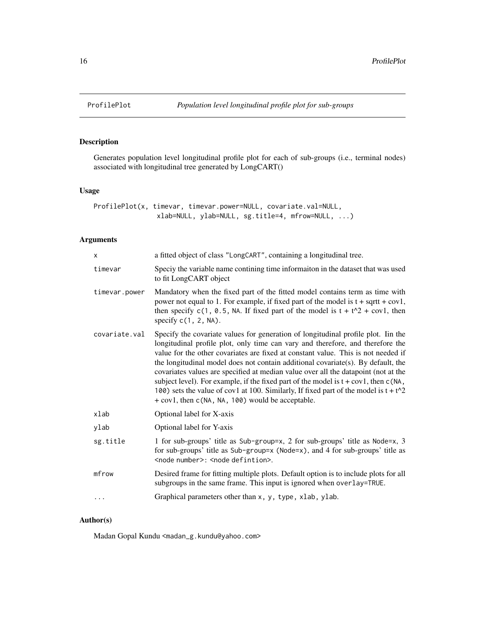<span id="page-15-1"></span><span id="page-15-0"></span>

# Description

Generates population level longitudinal profile plot for each of sub-groups (i.e., terminal nodes) associated with longitudinal tree generated by LongCART()

# Usage

| ProfilePlot(x, timevar, timevar.power=NULL, covariate.val=NULL, |                                                             |  |  |
|-----------------------------------------------------------------|-------------------------------------------------------------|--|--|
|                                                                 | $x$ lab=NULL, $y$ lab=NULL, $sg.title=4$ , $m$ frow=NULL, ) |  |  |

# Arguments

| X             | a fitted object of class "LongCART", containing a longitudinal tree.                                                                                                                                                                                                                                                                                                                                                                                                                                                                                                                                                                                                           |
|---------------|--------------------------------------------------------------------------------------------------------------------------------------------------------------------------------------------------------------------------------------------------------------------------------------------------------------------------------------------------------------------------------------------------------------------------------------------------------------------------------------------------------------------------------------------------------------------------------------------------------------------------------------------------------------------------------|
| timevar       | Speciy the variable name contining time informaiton in the dataset that was used<br>to fit LongCART object                                                                                                                                                                                                                                                                                                                                                                                                                                                                                                                                                                     |
| timevar.power | Mandatory when the fixed part of the fitted model contains term as time with<br>power not equal to 1. For example, if fixed part of the model is $t + sqrtt + cov1$ ,<br>then specify $c(1, 0.5, NA.$ If fixed part of the model is $t + t^2 + cov1$ , then<br>specify $c(1, 2, NA)$ .                                                                                                                                                                                                                                                                                                                                                                                         |
| covariate.val | Specify the covariate values for generation of longitudinal profile plot. Iin the<br>longitudinal profile plot, only time can vary and therefore, and therefore the<br>value for the other covariates are fixed at constant value. This is not needed if<br>the longitudinal model does not contain additional covariate(s). By default, the<br>covariates values are specified at median value over all the datapoint (not at the<br>subject level). For example, if the fixed part of the model is $t + cov1$ , then $c(NA)$ ,<br>100) sets the value of cov1 at 100. Similarly, If fixed part of the model is $t + t^2$<br>+ cov1, then c(NA, NA, 100) would be acceptable. |
| xlab          | Optional label for X-axis                                                                                                                                                                                                                                                                                                                                                                                                                                                                                                                                                                                                                                                      |
| ylab          | Optional label for Y-axis                                                                                                                                                                                                                                                                                                                                                                                                                                                                                                                                                                                                                                                      |
| sg.title      | 1 for sub-groups' title as Sub-group=x, 2 for sub-groups' title as Node=x, 3<br>for sub-groups' title as Sub-group=x (Node=x), and 4 for sub-groups' title as<br><node number="">: <node defintion="">.</node></node>                                                                                                                                                                                                                                                                                                                                                                                                                                                          |
| mfrow         | Desired frame for fitting multiple plots. Default option is to include plots for all<br>subgroups in the same frame. This input is ignored when overlay=TRUE.                                                                                                                                                                                                                                                                                                                                                                                                                                                                                                                  |
|               | Graphical parameters other than x, y, type, xlab, ylab.                                                                                                                                                                                                                                                                                                                                                                                                                                                                                                                                                                                                                        |

# Author(s)

Madan Gopal Kundu <madan\_g.kundu@yahoo.com>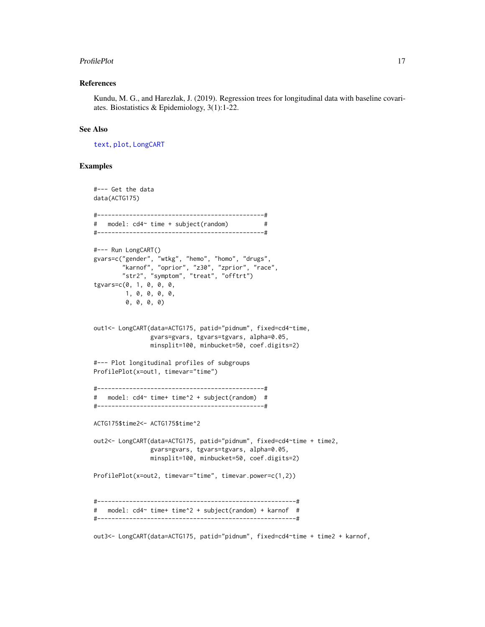#### <span id="page-16-0"></span>ProfilePlot 17

#### References

Kundu, M. G., and Harezlak, J. (2019). Regression trees for longitudinal data with baseline covariates. Biostatistics & Epidemiology, 3(1):1-22.

#### See Also

[text](#page-35-1), [plot](#page-8-1), [LongCART](#page-4-1)

#### Examples

```
#--- Get the data
data(ACTG175)
#-----------------------------------------------#
# model: cd4~ time + subject(random) #
#-----------------------------------------------#
#--- Run LongCART()
gvars=c("gender", "wtkg", "hemo", "homo", "drugs",
        "karnof", "oprior", "z30", "zprior", "race",
        "str2", "symptom", "treat", "offtrt")
tgvars=c(0, 1, 0, 0, 0,
        1, 0, 0, 0, 0,
        0, 0, 0, 0)
out1<- LongCART(data=ACTG175, patid="pidnum", fixed=cd4~time,
               gvars=gvars, tgvars=tgvars, alpha=0.05,
               minsplit=100, minbucket=50, coef.digits=2)
#--- Plot longitudinal profiles of subgroups
ProfilePlot(x=out1, timevar="time")
#-----------------------------------------------#
# model: cd4~ time+ time^2 + subject(random) #
#-----------------------------------------------#
ACTG175$time2<- ACTG175$time^2
out2<- LongCART(data=ACTG175, patid="pidnum", fixed=cd4~time + time2,
               gvars=gvars, tgvars=tgvars, alpha=0.05,
               minsplit=100, minbucket=50, coef.digits=2)
ProfilePlot(x=out2, timevar="time", timevar.power=c(1,2))
#--------------------------------------------------------#
# model: cd4~ time+ time^2 + subject(random) + karnof #
#--------------------------------------------------------#
```
out3<- LongCART(data=ACTG175, patid="pidnum", fixed=cd4~time + time2 + karnof,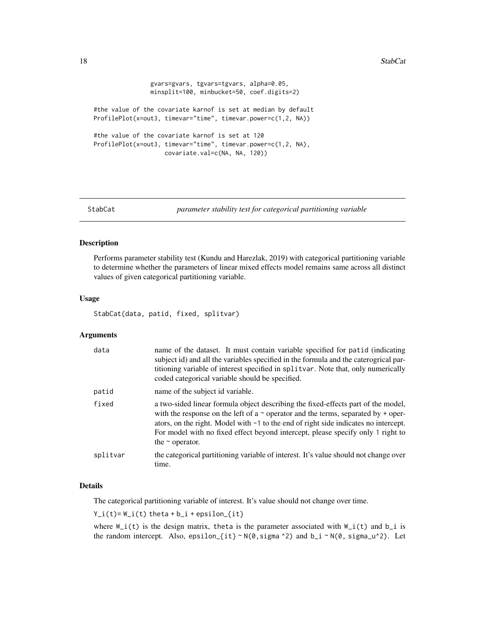```
gvars=gvars, tgvars=tgvars, alpha=0.05,
                minsplit=100, minbucket=50, coef.digits=2)
#the value of the covariate karnof is set at median by default
ProfilePlot(x=out3, timevar="time", timevar.power=c(1,2, NA))
#the value of the covariate karnof is set at 120
ProfilePlot(x=out3, timevar="time", timevar.power=c(1,2, NA),
                   covariate.val=c(NA, NA, 120))
```

```
StabCat parameter stability test for categorical partitioning variable
```
# Description

Performs parameter stability test (Kundu and Harezlak, 2019) with categorical partitioning variable to determine whether the parameters of linear mixed effects model remains same across all distinct values of given categorical partitioning variable.

#### Usage

StabCat(data, patid, fixed, splitvar)

#### Arguments

| data     | name of the dataset. It must contain variable specified for patid (indicating<br>subject id) and all the variables specified in the formula and the caterogrical par-<br>titioning variable of interest specified in splitvar. Note that, only numerically<br>coded categorical variable should be specified.                                                                   |
|----------|---------------------------------------------------------------------------------------------------------------------------------------------------------------------------------------------------------------------------------------------------------------------------------------------------------------------------------------------------------------------------------|
| patid    | name of the subject id variable.                                                                                                                                                                                                                                                                                                                                                |
| fixed    | a two-sided linear formula object describing the fixed-effects part of the model,<br>with the response on the left of a $\sim$ operator and the terms, separated by + oper-<br>ators, on the right. Model with $-1$ to the end of right side indicates no intercept.<br>For model with no fixed effect beyond intercept, please specify only 1 right to<br>the $\sim$ operator. |
| splitvar | the categorical partitioning variable of interest. It's value should not change over<br>time.                                                                                                                                                                                                                                                                                   |

#### Details

The categorical partitioning variable of interest. It's value should not change over time.

 $Y_i(t) = W_i(t)$  theta +  $b_i$  + epsilon\_{it}

where  $W_i(t)$  is the design matrix, theta is the parameter associated with  $W_i(t)$  and  $b_i$  is the random intercept. Also, epsilon\_{it} ~  $N(\emptyset, \text{sigma}^2)$  and  $b_i - N(\emptyset, \text{sigma}_u^2)$ . Let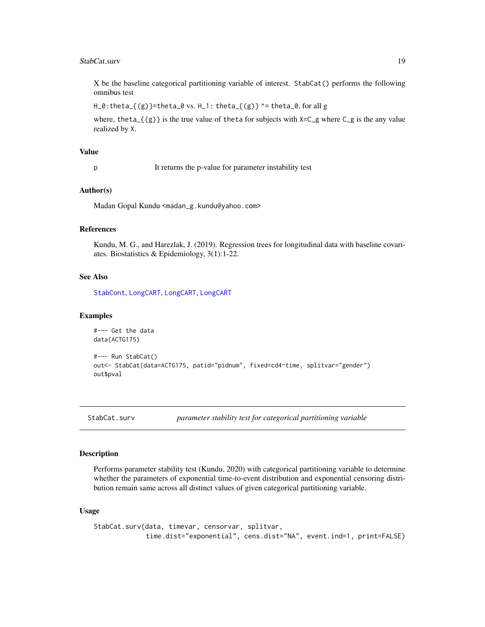#### <span id="page-18-0"></span>StabCat.surv 19

X be the baseline categorical partitioning variable of interest. StabCat() performs the following omnibus test

 $H_0$ : theta\_{(g)}=theta\_0 vs.  $H_1$ : theta\_{(g)} ^= theta\_0, for all g

where, theta\_ $\{(g)\}\$ is the true value of theta for subjects with  $X=C_g$  where  $C_g$  is the any value realized by X.

# Value

p It returns the p-value for parameter instability test

#### Author(s)

Madan Gopal Kundu <madan\_g.kundu@yahoo.com>

#### References

Kundu, M. G., and Harezlak, J. (2019). Regression trees for longitudinal data with baseline covariates. Biostatistics & Epidemiology, 3(1):1-22.

#### See Also

[StabCont](#page-20-1), [LongCART](#page-4-1), [LongCART](#page-4-1), [LongCART](#page-4-1)

#### Examples

```
#--- Get the data
data(ACTG175)
```

```
#--- Run StabCat()
out<- StabCat(data=ACTG175, patid="pidnum", fixed=cd4~time, splitvar="gender")
out$pval
```
<span id="page-18-1"></span>StabCat.surv *parameter stability test for categorical partitioning variable*

#### Description

Performs parameter stability test (Kundu, 2020) with categorical partitioning variable to determine whether the parameters of exponential time-to-event distribution and exponential censoring distribution remain same across all distinct values of given categorical partitioning variable.

#### Usage

```
StabCat.surv(data, timevar, censorvar, splitvar,
             time.dist="exponential", cens.dist="NA", event.ind=1, print=FALSE)
```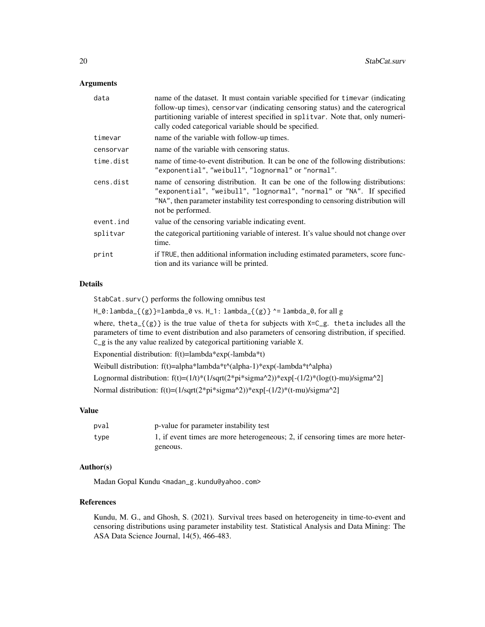#### **Arguments**

| data      | name of the dataset. It must contain variable specified for timevar (indicating<br>follow-up times), censorvar (indicating censoring status) and the caterogrical<br>partitioning variable of interest specified in splitvar. Note that, only numeri-<br>cally coded categorical variable should be specified. |
|-----------|----------------------------------------------------------------------------------------------------------------------------------------------------------------------------------------------------------------------------------------------------------------------------------------------------------------|
| timevar   | name of the variable with follow-up times.                                                                                                                                                                                                                                                                     |
| censorvar | name of the variable with censoring status.                                                                                                                                                                                                                                                                    |
| time.dist | name of time-to-event distribution. It can be one of the following distributions:<br>"exponential", "weibull", "lognormal" or "normal".                                                                                                                                                                        |
| cens.dist | name of censoring distribution. It can be one of the following distributions:<br>"exponential", "weibull", "lognormal", "normal" or "NA". If specified<br>"NA", then parameter instability test corresponding to censoring distribution will<br>not be performed.                                              |
| event.ind | value of the censoring variable indicating event.                                                                                                                                                                                                                                                              |
| splitvar  | the categorical partitioning variable of interest. It's value should not change over<br>time.                                                                                                                                                                                                                  |
| print     | if TRUE, then additional information including estimated parameters, score func-<br>tion and its variance will be printed.                                                                                                                                                                                     |

#### Details

StabCat.surv() performs the following omnibus test

 $H_0:$ lambda\_{(g)}=lambda\_0 vs.  $H_1:$  lambda\_{(g)} ^= lambda\_0, for all g

where, theta<sub> $-$ </sub>{(g)} is the true value of theta for subjects with  $X=C<sub>-</sub>g$ . theta includes all the parameters of time to event distribution and also parameters of censoring distribution, if specified. C\_g is the any value realized by categorical partitioning variable X.

Exponential distribution: f(t)=lambda\*exp(-lambda\*t)

Weibull distribution: f(t)=alpha\*lambda\*t^(alpha-1)\*exp(-lambda\*t^alpha)

Lognormal distribution:  $f(t)=(1/t)*(1/sqrt(2*pi*sigma^2))*exp[-(1/2)*(log(t)-mu)/sigma^2]$ 

Normal distribution: f(t)=(1/sqrt(2\*pi\*sigma^2))\*exp[-(1/2)\*(t-mu)/sigma^2]

#### Value

| pval | p-value for parameter instability test                                          |
|------|---------------------------------------------------------------------------------|
| type | 1, if event times are more heterogeneous; 2, if censoring times are more heter- |
|      | geneous.                                                                        |

#### Author(s)

Madan Gopal Kundu <madan\_g.kundu@yahoo.com>

# References

Kundu, M. G., and Ghosh, S. (2021). Survival trees based on heterogeneity in time-to-event and censoring distributions using parameter instability test. Statistical Analysis and Data Mining: The ASA Data Science Journal, 14(5), 466-483.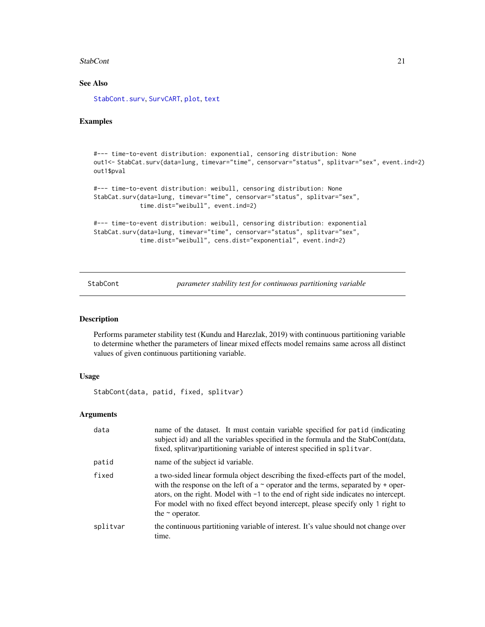#### <span id="page-20-0"></span>StabCont 21

# See Also

[StabCont.surv](#page-21-1), [SurvCART](#page-32-1), [plot](#page-8-1), [text](#page-35-1)

# Examples

```
#--- time-to-event distribution: exponential, censoring distribution: None
out1<- StabCat.surv(data=lung, timevar="time", censorvar="status", splitvar="sex", event.ind=2)
out1$pval
```

```
#--- time-to-event distribution: weibull, censoring distribution: None
StabCat.surv(data=lung, timevar="time", censorvar="status", splitvar="sex",
             time.dist="weibull", event.ind=2)
```

```
#--- time-to-event distribution: weibull, censoring distribution: exponential
StabCat.surv(data=lung, timevar="time", censorvar="status", splitvar="sex",
            time.dist="weibull", cens.dist="exponential", event.ind=2)
```
<span id="page-20-1"></span>StabCont *parameter stability test for continuous partitioning variable*

#### Description

Performs parameter stability test (Kundu and Harezlak, 2019) with continuous partitioning variable to determine whether the parameters of linear mixed effects model remains same across all distinct values of given continuous partitioning variable.

#### Usage

StabCont(data, patid, fixed, splitvar)

### Arguments

| data     | name of the dataset. It must contain variable specified for patid (indicating<br>subject id) and all the variables specified in the formula and the StabCont(data,<br>fixed, splitvar) partitioning variable of interest specified in splitvar.                                                                                                                                 |
|----------|---------------------------------------------------------------------------------------------------------------------------------------------------------------------------------------------------------------------------------------------------------------------------------------------------------------------------------------------------------------------------------|
| patid    | name of the subject id variable.                                                                                                                                                                                                                                                                                                                                                |
| fixed    | a two-sided linear formula object describing the fixed-effects part of the model,<br>with the response on the left of a $\sim$ operator and the terms, separated by + oper-<br>ators, on the right. Model with $-1$ to the end of right side indicates no intercept.<br>For model with no fixed effect beyond intercept, please specify only 1 right to<br>the $\sim$ operator. |
| splitvar | the continuous partitioning variable of interest. It's value should not change over<br>time.                                                                                                                                                                                                                                                                                    |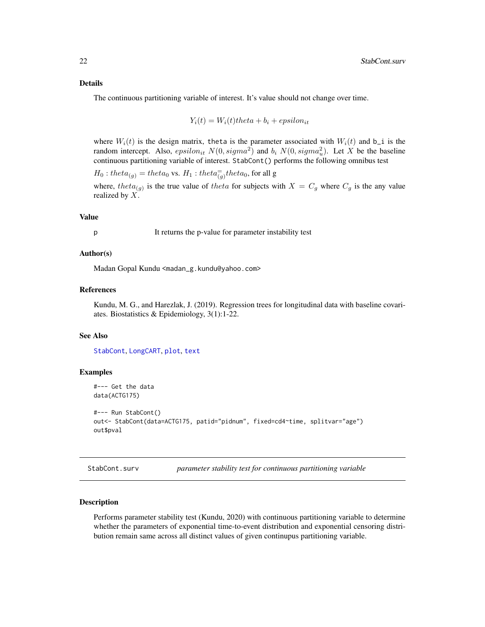#### <span id="page-21-0"></span>Details

The continuous partitioning variable of interest. It's value should not change over time.

$$
Y_i(t) = W_i(t) \text{ } \text{ } t \text{ } \text{ } t + \text{ } \text{ } e \text{ } \text{ } \text{ } p \text{ } \text{ } \text{ } \text{ } i \text{ } \text{ } t
$$

where  $W_i(t)$  is the design matrix, theta is the parameter associated with  $W_i(t)$  and  $b_i$  is the random intercept. Also,  $epsilon_{it} N(0, sigma^2)$  and  $b_i N(0, sigma_u^2)$ . Let X be the baseline continuous partitioning variable of interest. StabCont() performs the following omnibus test

 $H_0: theta_{(g)} = theta_0$  vs.  $H_1: theta_{(g)}^- theta_0$ , for all g

where, theta<sub>(g)</sub> is the true value of theta for subjects with  $X = C_g$  where  $C_g$  is the any value realized by X.

#### Value

p It returns the p-value for parameter instability test

#### Author(s)

Madan Gopal Kundu <madan\_g.kundu@yahoo.com>

#### References

Kundu, M. G., and Harezlak, J. (2019). Regression trees for longitudinal data with baseline covariates. Biostatistics & Epidemiology, 3(1):1-22.

#### See Also

[StabCont](#page-20-1), [LongCART](#page-4-1), [plot](#page-8-1), [text](#page-35-1)

#### Examples

```
#--- Get the data
data(ACTG175)
#--- Run StabCont()
out<- StabCont(data=ACTG175, patid="pidnum", fixed=cd4~time, splitvar="age")
out$pval
```
<span id="page-21-1"></span>StabCont.surv *parameter stability test for continuous partitioning variable*

#### **Description**

Performs parameter stability test (Kundu, 2020) with continuous partitioning variable to determine whether the parameters of exponential time-to-event distribution and exponential censoring distribution remain same across all distinct values of given continupus partitioning variable.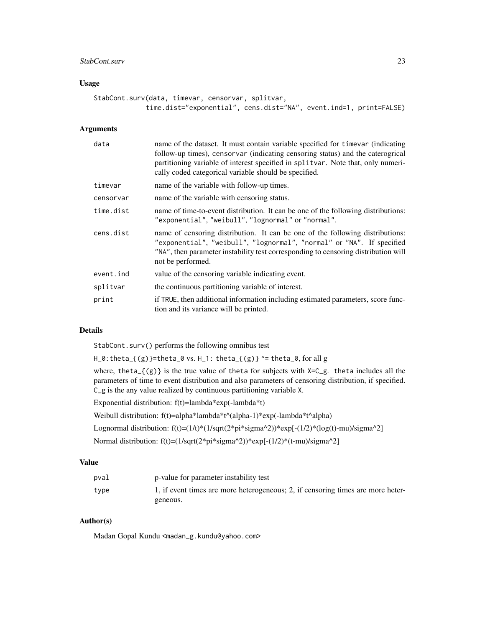#### StabCont.surv 23

# Usage

```
StabCont.surv(data, timevar, censorvar, splitvar,
             time.dist="exponential", cens.dist="NA", event.ind=1, print=FALSE)
```
#### Arguments

| data      | name of the dataset. It must contain variable specified for timevar (indicating<br>follow-up times), censorvar (indicating censoring status) and the caterogrical<br>partitioning variable of interest specified in splitvar. Note that, only numeri-<br>cally coded categorical variable should be specified. |
|-----------|----------------------------------------------------------------------------------------------------------------------------------------------------------------------------------------------------------------------------------------------------------------------------------------------------------------|
| timevar   | name of the variable with follow-up times.                                                                                                                                                                                                                                                                     |
| censorvar | name of the variable with censoring status.                                                                                                                                                                                                                                                                    |
| time.dist | name of time-to-event distribution. It can be one of the following distributions:<br>"exponential", "weibull", "lognormal" or "normal".                                                                                                                                                                        |
| cens.dist | name of censoring distribution. It can be one of the following distributions:<br>"exponential", "weibull", "lognormal", "normal" or "NA". If specified<br>"NA", then parameter instability test corresponding to censoring distribution will<br>not be performed.                                              |
| event.ind | value of the censoring variable indicating event.                                                                                                                                                                                                                                                              |
| splitvar  | the continuous partitioning variable of interest.                                                                                                                                                                                                                                                              |
| print     | if TRUE, then additional information including estimated parameters, score func-<br>tion and its variance will be printed.                                                                                                                                                                                     |

# Details

StabCont.surv() performs the following omnibus test

H\_0:theta\_{(g)}=theta\_0 vs. H\_1: theta\_{(g)} ^= theta\_0, for all g

where, theta<sub>-</sub> $\{(g)\}\$ is the true value of theta for subjects with X=C<sub>-</sub>g. theta includes all the parameters of time to event distribution and also parameters of censoring distribution, if specified. C\_g is the any value realized by continuous partitioning variable X.

Exponential distribution: f(t)=lambda\*exp(-lambda\*t)

Weibull distribution: f(t)=alpha\*lambda\*t^(alpha-1)\*exp(-lambda\*t^alpha)

Lognormal distribution:  $f(t)=(1/t)*(1/sqrt(2*pi*sigma^2))*exp[-(1/2)*(log(t)-mu)/sigma^2]$ 

Normal distribution: f(t)=(1/sqrt(2\*pi\*sigma^2))\*exp[-(1/2)\*(t-mu)/sigma^2]

### Value

| pval | p-value for parameter instability test                                          |
|------|---------------------------------------------------------------------------------|
| type | 1, if event times are more heterogeneous; 2, if censoring times are more heter- |
|      | geneous.                                                                        |

### Author(s)

Madan Gopal Kundu <madan\_g.kundu@yahoo.com>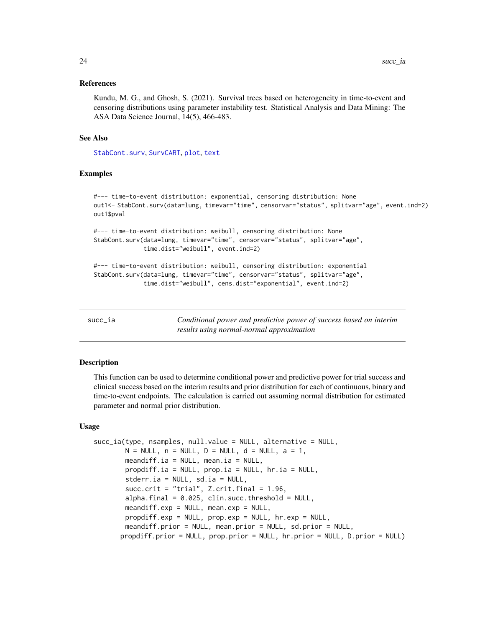#### <span id="page-23-0"></span>References

Kundu, M. G., and Ghosh, S. (2021). Survival trees based on heterogeneity in time-to-event and censoring distributions using parameter instability test. Statistical Analysis and Data Mining: The ASA Data Science Journal, 14(5), 466-483.

#### See Also

[StabCont.surv](#page-21-1), [SurvCART](#page-32-1), [plot](#page-8-1), [text](#page-35-1)

#### Examples

```
#--- time-to-event distribution: exponential, censoring distribution: None
out1<- StabCont.surv(data=lung, timevar="time", censorvar="status", splitvar="age", event.ind=2)
out1$pval
#--- time-to-event distribution: weibull, censoring distribution: None
StabCont.surv(data=lung, timevar="time", censorvar="status", splitvar="age",
              time.dist="weibull", event.ind=2)
```

```
#--- time-to-event distribution: weibull, censoring distribution: exponential
StabCont.surv(data=lung, timevar="time", censorvar="status", splitvar="age",
              time.dist="weibull", cens.dist="exponential", event.ind=2)
```
<span id="page-23-1"></span>

| succ | ıa |
|------|----|
|      |    |

Conditional power and predictive power of success based on interim *results using normal-normal approximation*

#### Description

This function can be used to determine conditional power and predictive power for trial success and clinical success based on the interim results and prior distribution for each of continuous, binary and time-to-event endpoints. The calculation is carried out assuming normal distribution for estimated parameter and normal prior distribution.

#### Usage

```
succ_ia(type, nsamples, null.value = NULL, alternative = NULL,
       N = NULL, n = NULL, D = NULL, d = NULL, a = 1,
       meandiff.ia = NULL, mean.ia = NULL,
       propdiff.ia = NULL, prop.ia = NULL, hr.ia = NULL,
       stderr.ia = NULL, sd.ia = NULL,
       succ.crit = "trial", Z.crit.final = 1.96,
       alpha.final = 0.025, clin.succ.threshold = NULL,
       meandiff.exp = NULL, mean.exp = NULL,
       propdiff.exp = NULL, prop.exp = NULL, hr.exp = NULL,
       meandiff.prior = NULL, mean.prior = NULL, sd.prior = NULL,
      propdiff.prior = NULL, prop.prior = NULL, hr.prior = NULL, D.prior = NULL)
```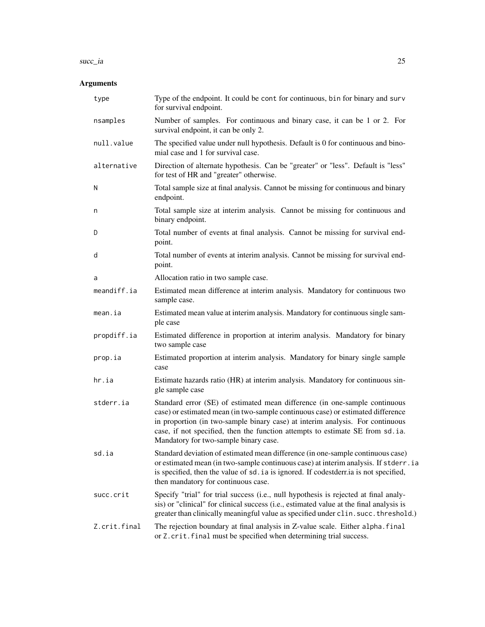#### succ\_ia 25

# Arguments

| type         | Type of the endpoint. It could be cont for continuous, bin for binary and surv<br>for survival endpoint.                                                                                                                                                                                                                                                                 |
|--------------|--------------------------------------------------------------------------------------------------------------------------------------------------------------------------------------------------------------------------------------------------------------------------------------------------------------------------------------------------------------------------|
| nsamples     | Number of samples. For continuous and binary case, it can be 1 or 2. For<br>survival endpoint, it can be only 2.                                                                                                                                                                                                                                                         |
| null.value   | The specified value under null hypothesis. Default is 0 for continuous and bino-<br>mial case and 1 for survival case.                                                                                                                                                                                                                                                   |
| alternative  | Direction of alternate hypothesis. Can be "greater" or "less". Default is "less"<br>for test of HR and "greater" otherwise.                                                                                                                                                                                                                                              |
| N            | Total sample size at final analysis. Cannot be missing for continuous and binary<br>endpoint.                                                                                                                                                                                                                                                                            |
| n            | Total sample size at interim analysis. Cannot be missing for continuous and<br>binary endpoint.                                                                                                                                                                                                                                                                          |
| D            | Total number of events at final analysis. Cannot be missing for survival end-<br>point.                                                                                                                                                                                                                                                                                  |
| d            | Total number of events at interim analysis. Cannot be missing for survival end-<br>point.                                                                                                                                                                                                                                                                                |
| a            | Allocation ratio in two sample case.                                                                                                                                                                                                                                                                                                                                     |
| meandiff.ia  | Estimated mean difference at interim analysis. Mandatory for continuous two<br>sample case.                                                                                                                                                                                                                                                                              |
| mean.ia      | Estimated mean value at interim analysis. Mandatory for continuous single sam-<br>ple case                                                                                                                                                                                                                                                                               |
| propdiff.ia  | Estimated difference in proportion at interim analysis. Mandatory for binary<br>two sample case                                                                                                                                                                                                                                                                          |
| prop.ia      | Estimated proportion at interim analysis. Mandatory for binary single sample<br>case                                                                                                                                                                                                                                                                                     |
| hr.ia        | Estimate hazards ratio (HR) at interim analysis. Mandatory for continuous sin-<br>gle sample case                                                                                                                                                                                                                                                                        |
| stderr.ia    | Standard error (SE) of estimated mean difference (in one-sample continuous<br>case) or estimated mean (in two-sample continuous case) or estimated difference<br>in proportion (in two-sample binary case) at interim analysis. For continuous<br>case, if not specified, then the function attempts to estimate SE from sd.ia.<br>Mandatory for two-sample binary case. |
| sd.ia        | Standard deviation of estimated mean difference (in one-sample continuous case)<br>or estimated mean (in two-sample continuous case) at interim analysis. If stderr.ia<br>is specified, then the value of sd. ia is ignored. If codestdernia is not specified,<br>then mandatory for continuous case.                                                                    |
| succ.crit    | Specify "trial" for trial success (i.e., null hypothesis is rejected at final analy-<br>sis) or "clinical" for clinical success (i.e., estimated value at the final analysis is<br>greater than clinically meaningful value as specified under clin. succ. threshold.)                                                                                                   |
| Z.crit.final | The rejection boundary at final analysis in Z-value scale. Either alpha.final<br>or Z.crit.final must be specified when determining trial success.                                                                                                                                                                                                                       |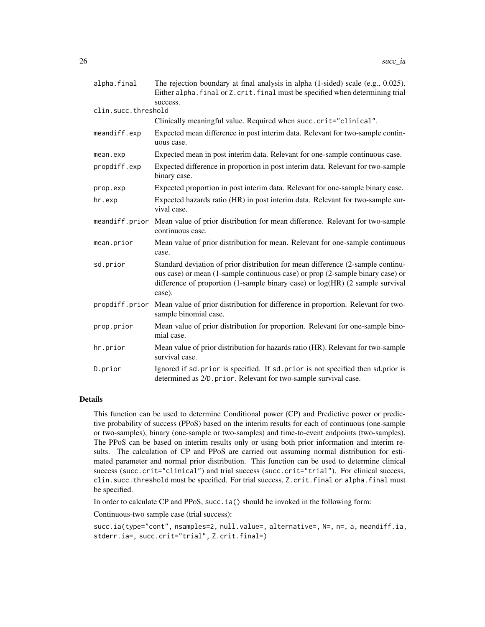| alpha.final         | The rejection boundary at final analysis in alpha $(1$ -sided) scale $(e.g., 0.025)$ .<br>Either alpha. final or Z. crit. final must be specified when determining trial<br>success.                                                                         |
|---------------------|--------------------------------------------------------------------------------------------------------------------------------------------------------------------------------------------------------------------------------------------------------------|
| clin.succ.threshold |                                                                                                                                                                                                                                                              |
|                     | Clinically meaningful value. Required when succ.crit="clinical".                                                                                                                                                                                             |
| meandiff.exp        | Expected mean difference in post interim data. Relevant for two-sample contin-<br>uous case.                                                                                                                                                                 |
| mean.exp            | Expected mean in post interim data. Relevant for one-sample continuous case.                                                                                                                                                                                 |
| propdiff.exp        | Expected difference in proportion in post interim data. Relevant for two-sample<br>binary case.                                                                                                                                                              |
| prop.exp            | Expected proportion in post interim data. Relevant for one-sample binary case.                                                                                                                                                                               |
| hr.exp              | Expected hazards ratio (HR) in post interim data. Relevant for two-sample sur-<br>vival case.                                                                                                                                                                |
| meandiff.prior      | Mean value of prior distribution for mean difference. Relevant for two-sample<br>continuous case.                                                                                                                                                            |
| mean.prior          | Mean value of prior distribution for mean. Relevant for one-sample continuous<br>case.                                                                                                                                                                       |
| sd.prior            | Standard deviation of prior distribution for mean difference (2-sample continu-<br>ous case) or mean (1-sample continuous case) or prop (2-sample binary case) or<br>difference of proportion (1-sample binary case) or log(HR) (2 sample survival<br>case). |
| propdiff.prior      | Mean value of prior distribution for difference in proportion. Relevant for two-<br>sample binomial case.                                                                                                                                                    |
| prop.prior          | Mean value of prior distribution for proportion. Relevant for one-sample bino-<br>mial case.                                                                                                                                                                 |
| hr.prior            | Mean value of prior distribution for hazards ratio (HR). Relevant for two-sample<br>survival case.                                                                                                                                                           |
| D.prior             | Ignored if sd. prior is specified. If sd. prior is not specified then sd. prior is<br>determined as 2/D. prior. Relevant for two-sample survival case.                                                                                                       |

#### Details

This function can be used to determine Conditional power (CP) and Predictive power or predictive probability of success (PPoS) based on the interim results for each of continuous (one-sample or two-samples), binary (one-sample or two-samples) and time-to-event endpoints (two-samples). The PPoS can be based on interim results only or using both prior information and interim results. The calculation of CP and PPoS are carried out assuming normal distribution for estimated parameter and normal prior distribution. This function can be used to determine clinical success (succ.crit="clinical") and trial success (succ.crit="trial"). For clinical success, clin.succ.threshold must be specified. For trial success, Z.crit.final or alpha.final must be specified.

In order to calculate CP and PPoS, succ.ia() should be invoked in the following form:

Continuous-two sample case (trial success):

succ.ia(type="cont", nsamples=2, null.value=, alternative=, N=, n=, a, meandiff.ia, stderr.ia=, succ.crit="trial", Z.crit.final=)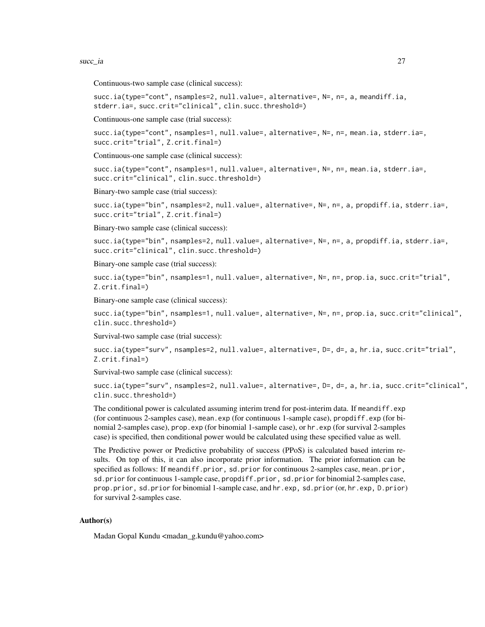succ\_ia 27

Continuous-two sample case (clinical success):

succ.ia(type="cont", nsamples=2, null.value=, alternative=, N=, n=, a, meandiff.ia, stderr.ia=, succ.crit="clinical", clin.succ.threshold=)

Continuous-one sample case (trial success):

succ.ia(type="cont", nsamples=1, null.value=, alternative=, N=, n=, mean.ia, stderr.ia=, succ.crit="trial", Z.crit.final=)

Continuous-one sample case (clinical success):

succ.ia(type="cont", nsamples=1, null.value=, alternative=, N=, n=, mean.ia, stderr.ia=, succ.crit="clinical", clin.succ.threshold=)

Binary-two sample case (trial success):

succ.ia(type="bin", nsamples=2, null.value=, alternative=, N=, n=, a, propdiff.ia, stderr.ia=, succ.crit="trial", Z.crit.final=)

Binary-two sample case (clinical success):

succ.ia(type="bin", nsamples=2, null.value=, alternative=, N=, n=, a, propdiff.ia, stderr.ia=, succ.crit="clinical", clin.succ.threshold=)

Binary-one sample case (trial success):

succ.ia(type="bin", nsamples=1, null.value=, alternative=, N=, n=, prop.ia, succ.crit="trial", Z.crit.final=)

Binary-one sample case (clinical success):

succ.ia(type="bin", nsamples=1, null.value=, alternative=, N=, n=, prop.ia, succ.crit="clinical", clin.succ.threshold=)

Survival-two sample case (trial success):

succ.ia(type="surv", nsamples=2, null.value=, alternative=, D=, d=, a, hr.ia, succ.crit="trial", Z.crit.final=)

Survival-two sample case (clinical success):

succ.ia(type="surv", nsamples=2, null.value=, alternative=, D=, d=, a, hr.ia, succ.crit="clinical", clin.succ.threshold=)

The conditional power is calculated assuming interim trend for post-interim data. If meandiff.exp (for continuous 2-samples case), mean.exp (for continuous 1-sample case), propdiff.exp (for binomial 2-samples case), prop.exp (for binomial 1-sample case), or hr.exp (for survival 2-samples case) is specified, then conditional power would be calculated using these specified value as well.

The Predictive power or Predictive probability of success (PPoS) is calculated based interim results. On top of this, it can also incorporate prior information. The prior information can be specified as follows: If meandiff.prior, sd.prior for continuous 2-samples case, mean.prior, sd.prior for continuous 1-sample case, propdiff.prior, sd.prior for binomial 2-samples case, prop.prior, sd.prior for binomial 1-sample case, and hr.exp, sd.prior (or, hr.exp, D.prior) for survival 2-samples case.

### Author(s)

Madan Gopal Kundu <madan\_g.kundu@yahoo.com>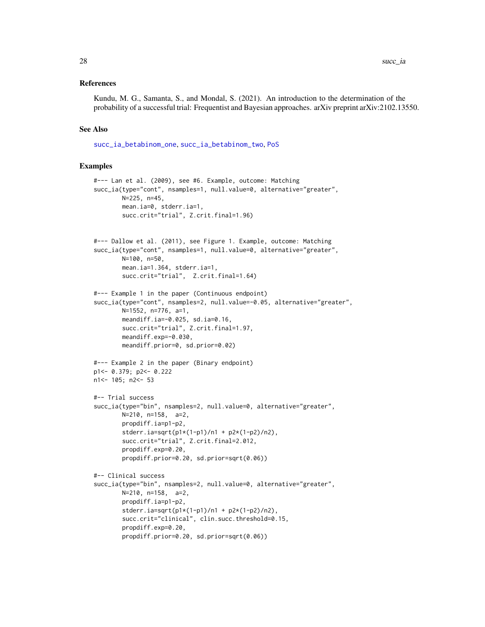#### <span id="page-27-0"></span>References

Kundu, M. G., Samanta, S., and Mondal, S. (2021). An introduction to the determination of the probability of a successful trial: Frequentist and Bayesian approaches. arXiv preprint arXiv:2102.13550.

#### See Also

[succ\\_ia\\_betabinom\\_one](#page-28-1), [succ\\_ia\\_betabinom\\_two](#page-30-1), [PoS](#page-10-1)

#### Examples

```
#--- Lan et al. (2009), see #6. Example, outcome: Matching
succ_ia(type="cont", nsamples=1, null.value=0, alternative="greater",
       N=225, n=45,
       mean.ia=0, stderr.ia=1,
       succ.crit="trial", Z.crit.final=1.96)
#--- Dallow et al. (2011), see Figure 1. Example, outcome: Matching
succ_ia(type="cont", nsamples=1, null.value=0, alternative="greater",
       N=100, n=50,
       mean.ia=1.364, stderr.ia=1,
       succ.crit="trial", Z.crit.final=1.64)
#--- Example 1 in the paper (Continuous endpoint)
succ_ia(type="cont", nsamples=2, null.value=-0.05, alternative="greater",
       N=1552, n=776, a=1,
       meandiff.ia=-0.025, sd.ia=0.16,
       succ.crit="trial", Z.crit.final=1.97,
       meandiff.exp=-0.030,
       meandiff.prior=0, sd.prior=0.02)
#--- Example 2 in the paper (Binary endpoint)
p1<- 0.379; p2<- 0.222
n1<- 105; n2<- 53
#-- Trial success
succ_ia(type="bin", nsamples=2, null.value=0, alternative="greater",
       N=210, n=158, a=2,
       propdiff.ia=p1-p2,
       stderr.ia=sqrt(p1*(1-p1)/n1 + p2*(1-p2)/n2),
       succ.crit="trial", Z.crit.final=2.012,
       propdiff.exp=0.20,
       propdiff.prior=0.20, sd.prior=sqrt(0.06))
#-- Clinical success
succ_ia(type="bin", nsamples=2, null.value=0, alternative="greater",
       N=210, n=158, a=2,
       propdiff.ia=p1-p2,
       stderr.ia=sqrt(p1*(1-p1)/n1 + p2*(1-p2)/n2),
       succ.crit="clinical", clin.succ.threshold=0.15,
       propdiff.exp=0.20,
       propdiff.prior=0.20, sd.prior=sqrt(0.06))
```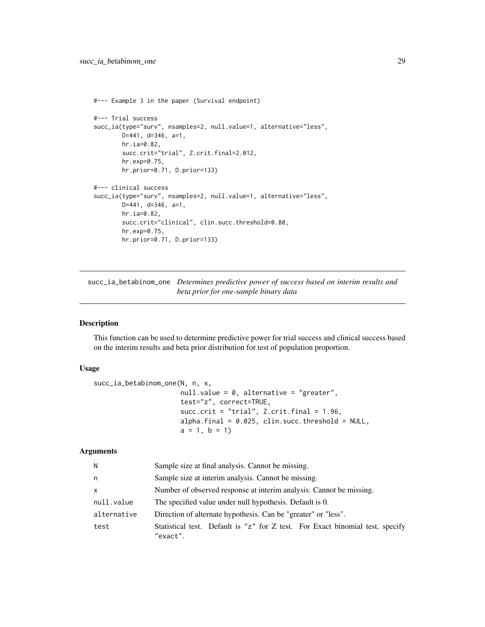```
#--- Example 3 in the paper (Survival endpoint)
#--- Trial success
succ_ia(type="surv", nsamples=2, null.value=1, alternative="less",
       D=441, d=346, a=1,
       hr.ia=0.82,
       succ.crit="trial", Z.crit.final=2.012,
       hr.exp=0.75,
       hr.prior=0.71, D.prior=133)
#--- clinical success
succ_ia(type="surv", nsamples=2, null.value=1, alternative="less",
       D=441, d=346, a=1,
       hr.ia=0.82,
       succ.crit="clinical", clin.succ.threshold=0.80,
       hr.exp=0.75,
       hr.prior=0.71, D.prior=133)
```
<span id="page-28-1"></span>succ\_ia\_betabinom\_one *Determines predictive power of success based on interim results and beta prior for one-sample binary data*

# Description

This function can be used to determine predictive power for trial success and clinical success based on the interim results and beta prior distribution for test of population proportion.

# Usage

```
succ_ia_betabinom_one(N, n, x,
                      null.value = 0, alternative = "greater",
                      test="z", correct=TRUE,
                      succ.crit = "trial", Z.crit.final = 1.96,
                      alpha.final = 0.025, clin.succ.threshold = NULL,
                      a = 1, b = 1)
```
# Arguments

| N            | Sample size at final analysis. Cannot be missing.                                         |
|--------------|-------------------------------------------------------------------------------------------|
| n            | Sample size at interim analysis. Cannot be missing.                                       |
| $\mathsf{x}$ | Number of observed response at interim analysis. Cannot be missing.                       |
| null.value   | The specified value under null hypothesis. Default is 0.                                  |
| alternative  | Direction of alternate hypothesis. Can be "greater" or "less".                            |
| test         | Statistical test. Default is "z" for Z test. For Exact binomial test, specify<br>"exact". |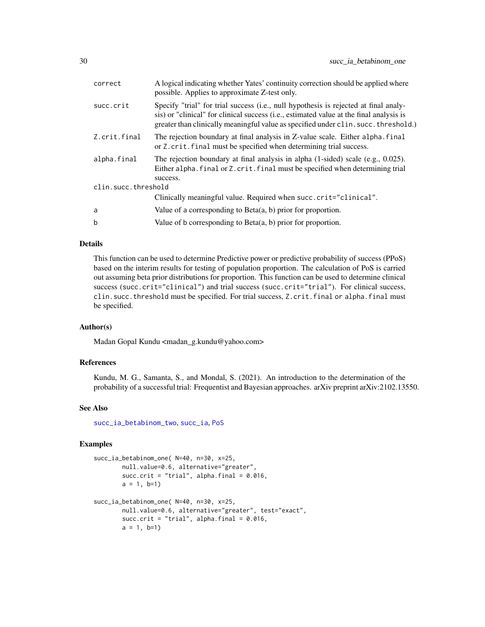<span id="page-29-0"></span>

| correct             | A logical indicating whether Yates' continuity correction should be applied where<br>possible. Applies to approximate Z-test only.                                                                                                                                     |
|---------------------|------------------------------------------------------------------------------------------------------------------------------------------------------------------------------------------------------------------------------------------------------------------------|
| succ.crit           | Specify "trial" for trial success (i.e., null hypothesis is rejected at final analy-<br>sis) or "clinical" for clinical success (i.e., estimated value at the final analysis is<br>greater than clinically meaningful value as specified under clin. succ. threshold.) |
| Z.crit.final        | The rejection boundary at final analysis in Z-value scale. Either alpha. final<br>or Z. crit. final must be specified when determining trial success.                                                                                                                  |
| alpha.final         | The rejection boundary at final analysis in alpha $(1\text{-sided})$ scale (e.g., 0.025).<br>Either alpha. final or Z. crit. final must be specified when determining trial<br>success.                                                                                |
| clin.succ.threshold |                                                                                                                                                                                                                                                                        |
|                     | Clinically meaningful value. Required when succ.crit="clinical".                                                                                                                                                                                                       |
| a                   | Value of a corresponding to $Beta(a, b)$ prior for proportion.                                                                                                                                                                                                         |
| $\mathbf b$         | Value of b corresponding to $Beta(a, b)$ prior for proportion.                                                                                                                                                                                                         |

# Details

This function can be used to determine Predictive power or predictive probability of success (PPoS) based on the interim results for testing of population proportion. The calculation of PoS is carried out assuming beta prior distributions for proportion. This function can be used to determine clinical success (succ.crit="clinical") and trial success (succ.crit="trial"). For clinical success, clin.succ.threshold must be specified. For trial success, Z.crit.final or alpha.final must be specified.

# Author(s)

Madan Gopal Kundu <madan\_g.kundu@yahoo.com>

#### References

Kundu, M. G., Samanta, S., and Mondal, S. (2021). An introduction to the determination of the probability of a successful trial: Frequentist and Bayesian approaches. arXiv preprint arXiv:2102.13550.

#### See Also

[succ\\_ia\\_betabinom\\_two](#page-30-1), [succ\\_ia](#page-23-1), [PoS](#page-10-1)

#### Examples

```
succ_ia_betabinom_one( N=40, n=30, x=25,
       null.value=0.6, alternative="greater",
       succ.crit = "trial", alpha.final = 0.016,
       a = 1, b=1)succ_ia_betabinom_one( N=40, n=30, x=25,
       null.value=0.6, alternative="greater", test="exact",
       succ.crit = "trial", alpha.final = 0.016,
       a = 1, b=1)
```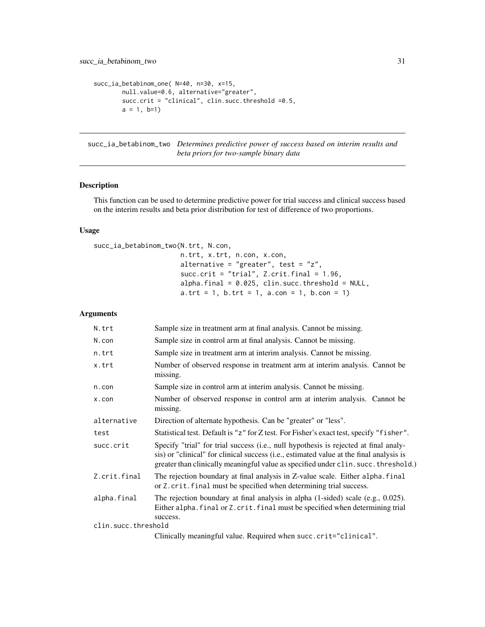```
succ_ia_betabinom_one( N=40, n=30, x=15,
       null.value=0.6, alternative="greater",
       succ.crit = "clinical", clin.succ.threshold =0.5,
       a = 1, b=1)
```
<span id="page-30-1"></span>succ\_ia\_betabinom\_two *Determines predictive power of success based on interim results and beta priors for two-sample binary data*

#### Description

This function can be used to determine predictive power for trial success and clinical success based on the interim results and beta prior distribution for test of difference of two proportions.

# Usage

```
succ_ia_betabinom_two(N.trt, N.con,
                      n.trt, x.trt, n.con, x.con,
                      alternative = "greater", test = "z",succ.crit = "trial", Z.crit.final = 1.96,
                      alpha.final = 0.025, Clin.succ.threshold = NULL,a. trt = 1, b. trt = 1, a. con = 1, b. con = 1)
```
# Arguments

| N.trt               | Sample size in treatment arm at final analysis. Cannot be missing.                                                                                                                                                                                                     |
|---------------------|------------------------------------------------------------------------------------------------------------------------------------------------------------------------------------------------------------------------------------------------------------------------|
| N.con               | Sample size in control arm at final analysis. Cannot be missing.                                                                                                                                                                                                       |
| n.trt               | Sample size in treatment arm at interim analysis. Cannot be missing.                                                                                                                                                                                                   |
| x.trt               | Number of observed response in treatment arm at interim analysis. Cannot be<br>missing.                                                                                                                                                                                |
| n.con               | Sample size in control arm at interim analysis. Cannot be missing.                                                                                                                                                                                                     |
| x.con               | Number of observed response in control arm at interim analysis. Cannot be<br>missing.                                                                                                                                                                                  |
| alternative         | Direction of alternate hypothesis. Can be "greater" or "less".                                                                                                                                                                                                         |
| test                | Statistical test. Default is "z" for Z test. For Fisher's exact test, specify "fisher".                                                                                                                                                                                |
| succ.crit           | Specify "trial" for trial success (i.e., null hypothesis is rejected at final analy-<br>sis) or "clinical" for clinical success (i.e., estimated value at the final analysis is<br>greater than clinically meaningful value as specified under clin. succ. threshold.) |
| Z.crit.final        | The rejection boundary at final analysis in Z-value scale. Either alpha. final<br>or Z. crit. final must be specified when determining trial success.                                                                                                                  |
| alpha.final         | The rejection boundary at final analysis in alpha $(1\text{-sided})$ scale $(e.g., 0.025)$ .<br>Either alpha. final or Z. crit. final must be specified when determining trial<br>success.                                                                             |
| clin.succ.threshold |                                                                                                                                                                                                                                                                        |
|                     | Clinically meaningful value. Required when succ.crit="clinical".                                                                                                                                                                                                       |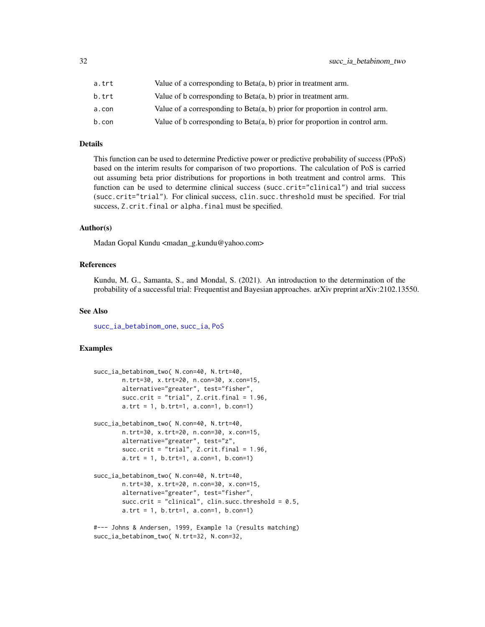<span id="page-31-0"></span>

| a.trt | Value of a corresponding to Beta $(a, b)$ prior in treatment arm.              |
|-------|--------------------------------------------------------------------------------|
| b.trt | Value of b corresponding to $Beta(a, b)$ prior in treatment arm.               |
| a.con | Value of a corresponding to Beta $(a, b)$ prior for proportion in control arm. |
| b.con | Value of b corresponding to $Beta(a, b)$ prior for proportion in control arm.  |

# Details

This function can be used to determine Predictive power or predictive probability of success (PPoS) based on the interim results for comparison of two proportions. The calculation of PoS is carried out assuming beta prior distributions for proportions in both treatment and control arms. This function can be used to determine clinical success (succ.crit="clinical") and trial success (succ.crit="trial"). For clinical success, clin.succ.threshold must be specified. For trial success, Z.crit.final or alpha.final must be specified.

#### Author(s)

Madan Gopal Kundu <madan\_g.kundu@yahoo.com>

#### References

Kundu, M. G., Samanta, S., and Mondal, S. (2021). An introduction to the determination of the probability of a successful trial: Frequentist and Bayesian approaches. arXiv preprint arXiv:2102.13550.

#### See Also

[succ\\_ia\\_betabinom\\_one](#page-28-1), [succ\\_ia](#page-23-1), [PoS](#page-10-1)

#### Examples

```
succ_ia_betabinom_two( N.con=40, N.trt=40,
       n.trt=30, x.trt=20, n.con=30, x.con=15,
       alternative="greater", test="fisher",
       succ.crit = "trial", Z.crit.final = 1.96,
       a.trt = 1, b.trt=1, a.con=1, b.con=1)
succ_ia_betabinom_two( N.con=40, N.trt=40,
       n.trt=30, x.trt=20, n.con=30, x.con=15,
       alternative="greater", test="z",
       succ.crit = "trial", Z.crit.final = 1.96,
       a.trt = 1, b.trt=1, a.con=1, b.con=1)
succ_ia_betabinom_two( N.con=40, N.trt=40,
       n.trt=30, x.trt=20, n.con=30, x.con=15,
       alternative="greater", test="fisher",
       succ.crit = "clinical", clin.succ.threshold = 0.5,
       a. trt = 1, b. trt = 1, a. con = 1, b. con = 1)#--- Johns & Andersen, 1999, Example 1a (results matching)
```
succ\_ia\_betabinom\_two( N.trt=32, N.con=32,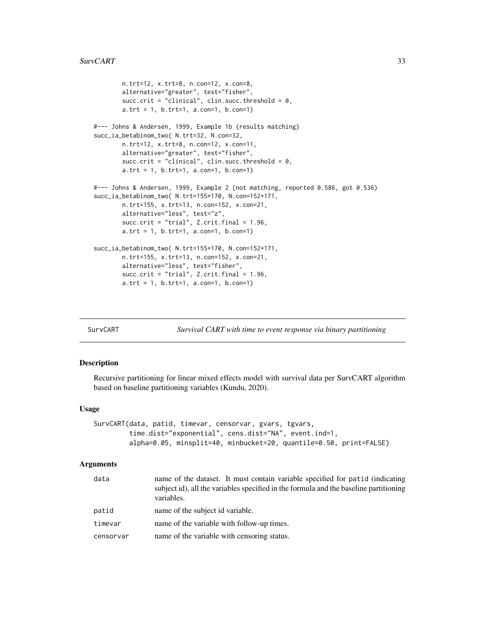#### <span id="page-32-0"></span>SurvCART 33

```
n.trt=12, x.trt=8, n.con=12, x.con=8,
       alternative="greater", test="fisher",
       succ.crit = "clinical", clin.succ.threshold = 0,
       a. trt = 1, b. trt = 1, a. con = 1, b. con = 1)#--- Johns & Andersen, 1999, Example 1b (results matching)
succ_ia_betabinom_two( N.trt=32, N.con=32,
       n.trt=12, x.trt=8, n.con=12, x.con=11,
       alternative="greater", test="fisher",
       succ.crit = "clinical", clin.succ.threshold = 0,
       a.trt = 1, b.trt=1, a.con=1, b.con=1)
#--- Johns & Andersen, 1999, Example 2 (not matching, reported 0.586, got 0.536)
succ_ia_betabinom_two( N.trt=155+170, N.con=152+171,
       n.trt=155, x.trt=13, n.con=152, x.con=21,
       alternative="less", test="z",
       succ.crit = "trial", Z.crit.final = 1.96,
       a.trt = 1, b.trt=1, a.con=1, b.con=1)
succ_ia_betabinom_two( N.trt=155+170, N.con=152+171,
       n.trt=155, x.trt=13, n.con=152, x.con=21,
       alternative="less", test="fisher",
       succ.crit = "trial", Z.crit.final = 1.96,
       a.trt = 1, b.trt=1, a.con=1, b.con=1)
```
<span id="page-32-1"></span>

SurvCART *Survival CART with time to event response via binary partitioning*

#### **Description**

Recursive partitioning for linear mixed effects model with survival data per SurvCART algorithm based on baseline partitioning variables (Kundu, 2020).

# Usage

```
SurvCART(data, patid, timevar, censorvar, gvars, tgvars,
         time.dist="exponential", cens.dist="NA", event.ind=1,
         alpha=0.05, minsplit=40, minbucket=20, quantile=0.50, print=FALSE)
```
#### Arguments

| name of the dataset. It must contain variable specified for patid (indicating<br>subject id), all the variables specified in the formula and the baseline partitioning<br>variables. |
|--------------------------------------------------------------------------------------------------------------------------------------------------------------------------------------|
| name of the subject id variable.                                                                                                                                                     |
| name of the variable with follow-up times.                                                                                                                                           |
| name of the variable with censoring status.                                                                                                                                          |
|                                                                                                                                                                                      |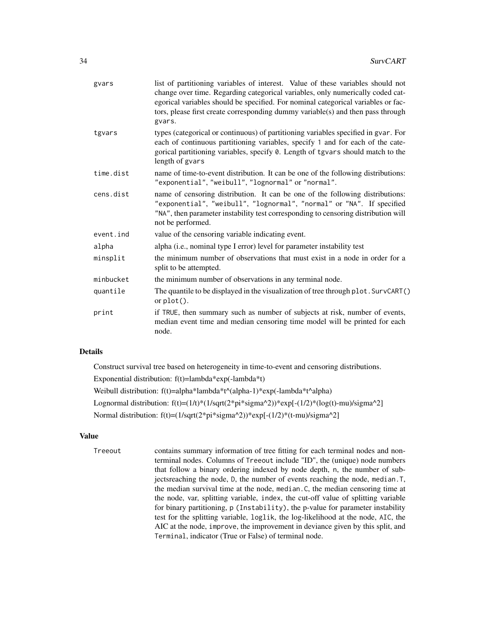| gvars     | list of partitioning variables of interest. Value of these variables should not<br>change over time. Regarding categorical variables, only numerically coded cat-<br>egorical variables should be specified. For nominal categorical variables or fac-<br>tors, please first create corresponding dummy variable(s) and then pass through<br>gvars. |
|-----------|-----------------------------------------------------------------------------------------------------------------------------------------------------------------------------------------------------------------------------------------------------------------------------------------------------------------------------------------------------|
| tgvars    | types (categorical or continuous) of partitioning variables specified in gvar. For<br>each of continuous partitioning variables, specify 1 and for each of the cate-<br>gorical partitioning variables, specify 0. Length of tgvars should match to the<br>length of gvars                                                                          |
| time.dist | name of time-to-event distribution. It can be one of the following distributions:<br>"exponential", "weibull", "lognormal" or "normal".                                                                                                                                                                                                             |
| cens.dist | name of censoring distribution. It can be one of the following distributions:<br>"exponential", "weibull", "lognormal", "normal" or "NA". If specified<br>"NA", then parameter instability test corresponding to censoring distribution will<br>not be performed.                                                                                   |
| event.ind | value of the censoring variable indicating event.                                                                                                                                                                                                                                                                                                   |
| alpha     | alpha (i.e., nominal type I error) level for parameter instability test                                                                                                                                                                                                                                                                             |
| minsplit  | the minimum number of observations that must exist in a node in order for a<br>split to be attempted.                                                                                                                                                                                                                                               |
| minbucket | the minimum number of observations in any terminal node.                                                                                                                                                                                                                                                                                            |
| quantile  | The quantile to be displayed in the visualization of tree through plot. SurvCART()<br>or $plot()$ .                                                                                                                                                                                                                                                 |
| print     | if TRUE, then summary such as number of subjects at risk, number of events,<br>median event time and median censoring time model will be printed for each<br>node.                                                                                                                                                                                  |
|           |                                                                                                                                                                                                                                                                                                                                                     |

# Details

Construct survival tree based on heterogeneity in time-to-event and censoring distributions.

Exponential distribution:  $f(t)=lambda*exp(-lambda* t)$ 

Weibull distribution: f(t)=alpha\*lambda\*t^(alpha-1)\*exp(-lambda\*t^alpha)

Lognormal distribution:  $f(t)=(1/t)*(1/sqrt(2*pi*signa^2))^*exp[-(1/2)*(log(t)-mu)/signa^2]$ 

Normal distribution: f(t)=(1/sqrt(2\*pi\*sigma^2))\*exp[-(1/2)\*(t-mu)/sigma^2]

#### Value

Treeout contains summary information of tree fitting for each terminal nodes and nonterminal nodes. Columns of Treeout include "ID", the (unique) node numbers that follow a binary ordering indexed by node depth, n, the number of subjectsreaching the node, D, the number of events reaching the node, median.T, the median survival time at the node, median.C, the median censoring time at the node, var, splitting variable, index, the cut-off value of splitting variable for binary partitioning, p (Instability), the p-value for parameter instability test for the splitting variable, loglik, the log-likelihood at the node, AIC, the AIC at the node, improve, the improvement in deviance given by this split, and Terminal, indicator (True or False) of terminal node.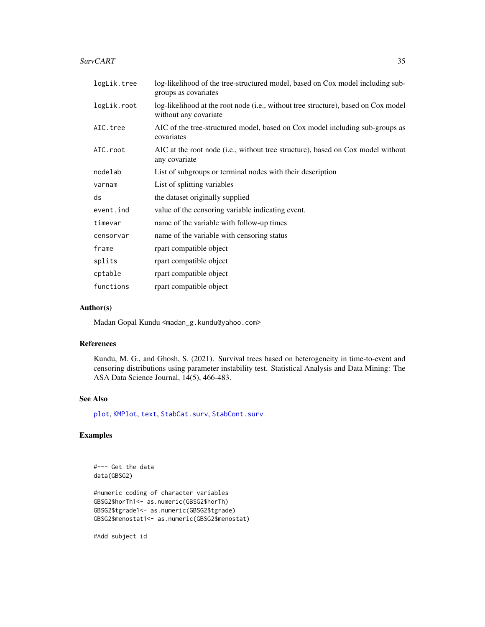#### <span id="page-34-0"></span>SurvCART 35

| logLik.tree | log-likelihood of the tree-structured model, based on Cox model including sub-<br>groups as covariates      |
|-------------|-------------------------------------------------------------------------------------------------------------|
| logLik.root | log-likelihood at the root node (i.e., without tree structure), based on Cox model<br>without any covariate |
| AIC.tree    | AIC of the tree-structured model, based on Cox model including sub-groups as<br>covariates                  |
| AIC.root    | AIC at the root node ( <i>i.e.</i> , without tree structure), based on Cox model without<br>any covariate   |
| nodelab     | List of subgroups or terminal nodes with their description                                                  |
| varnam      | List of splitting variables                                                                                 |
| ds          | the dataset originally supplied                                                                             |
| event.ind   | value of the censoring variable indicating event.                                                           |
| timevar     | name of the variable with follow-up times                                                                   |
| censorvar   | name of the variable with censoring status                                                                  |
| frame       | rpart compatible object                                                                                     |
| splits      | rpart compatible object                                                                                     |
| cptable     | rpart compatible object                                                                                     |
| functions   | rpart compatible object                                                                                     |

## Author(s)

Madan Gopal Kundu <madan\_g.kundu@yahoo.com>

# References

Kundu, M. G., and Ghosh, S. (2021). Survival trees based on heterogeneity in time-to-event and censoring distributions using parameter instability test. Statistical Analysis and Data Mining: The ASA Data Science Journal, 14(5), 466-483.

#### See Also

[plot](#page-8-1), [KMPlot](#page-3-1), [text](#page-35-1), [StabCat.surv](#page-18-1), [StabCont.surv](#page-21-1)

# Examples

#--- Get the data data(GBSG2)

#numeric coding of character variables GBSG2\$horTh1<- as.numeric(GBSG2\$horTh) GBSG2\$tgrade1<- as.numeric(GBSG2\$tgrade) GBSG2\$menostat1<- as.numeric(GBSG2\$menostat)

#Add subject id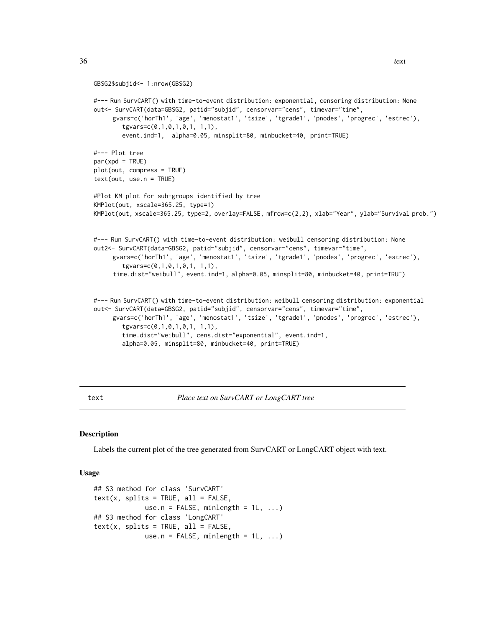```
GBSG2$subjid<- 1:nrow(GBSG2)
#--- Run SurvCART() with time-to-event distribution: exponential, censoring distribution: None
out<- SurvCART(data=GBSG2, patid="subjid", censorvar="cens", timevar="time",
     gvars=c('horTh1', 'age', 'menostat1', 'tsize', 'tgrade1', 'pnodes', 'progrec', 'estrec'),
        tgvars=c(0,1,0,1,0,1, 1,1),
        event.ind=1, alpha=0.05, minsplit=80, minbucket=40, print=TRUE)
#--- Plot tree
par(xpd = TRUE)plot(out, compress = TRUE)
text(out, use.n = TRUE)
#Plot KM plot for sub-groups identified by tree
KMPlot(out, xscale=365.25, type=1)
KMPlot(out, xscale=365.25, type=2, overlay=FALSE, mfrow=c(2,2), xlab="Year", ylab="Survival prob.")
#--- Run SurvCART() with time-to-event distribution: weibull censoring distribution: None
out2<- SurvCART(data=GBSG2, patid="subjid", censorvar="cens", timevar="time",
     gvars=c('horTh1', 'age', 'menostat1', 'tsize', 'tgrade1', 'pnodes', 'progrec', 'estrec'),
        tgvars=c(0,1,0,1,0,1, 1,1),
     time.dist="weibull", event.ind=1, alpha=0.05, minsplit=80, minbucket=40, print=TRUE)
#--- Run SurvCART() with time-to-event distribution: weibull censoring distribution: exponential
out<- SurvCART(data=GBSG2, patid="subjid", censorvar="cens", timevar="time",
     gvars=c('horTh1', 'age', 'menostat1', 'tsize', 'tgrade1', 'pnodes', 'progrec', 'estrec'),
        tgvars=c(0,1,0,1,0,1, 1,1),
        time.dist="weibull", cens.dist="exponential", event.ind=1,
```

```
alpha=0.05, minsplit=80, minbucket=40, print=TRUE)
```
<span id="page-35-1"></span>text *Place text on SurvCART or LongCART tree*

#### Description

Labels the current plot of the tree generated from SurvCART or LongCART object with text.

#### Usage

```
## S3 method for class 'SurvCART'
text(x, splits = TRUE, all = FALSE,use.n = FALSE, minlength = 1L, ...)
## S3 method for class 'LongCART'
text(x, splits = TRUE, all = FALSE,use.n = FALSE, minlength = 1L, ...)
```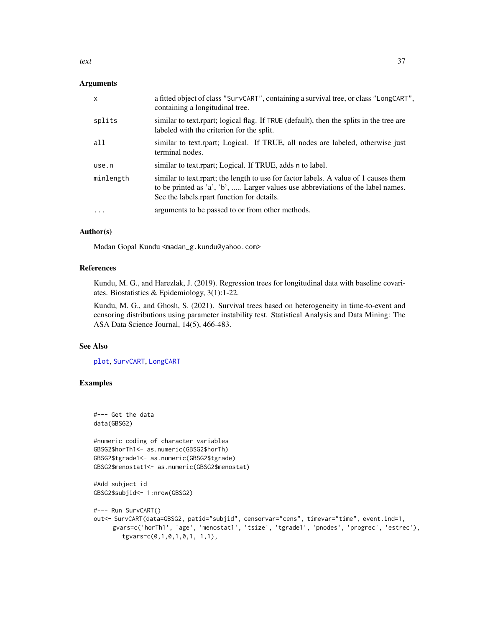<span id="page-36-0"></span>text 37

#### **Arguments**

| $\mathsf{x}$ | a fitted object of class "SurvCART", containing a survival tree, or class "LongCART",<br>containing a longitudinal tree.                                                                                              |
|--------------|-----------------------------------------------------------------------------------------------------------------------------------------------------------------------------------------------------------------------|
| splits       | similar to text.rpart; logical flag. If TRUE (default), then the splits in the tree are<br>labeled with the criterion for the split.                                                                                  |
| all          | similar to text.rpart; Logical. If TRUE, all nodes are labeled, otherwise just<br>terminal nodes.                                                                                                                     |
| use.n        | similar to text.rpart; Logical. If TRUE, adds n to label.                                                                                                                                                             |
| minlength    | similar to text.rpart; the length to use for factor labels. A value of 1 causes them<br>to be printed as 'a', 'b',  Larger values use abbreviations of the label names.<br>See the labels rpart function for details. |
| $\cdot$      | arguments to be passed to or from other methods.                                                                                                                                                                      |

### Author(s)

Madan Gopal Kundu <madan\_g.kundu@yahoo.com>

#### References

Kundu, M. G., and Harezlak, J. (2019). Regression trees for longitudinal data with baseline covariates. Biostatistics & Epidemiology, 3(1):1-22.

Kundu, M. G., and Ghosh, S. (2021). Survival trees based on heterogeneity in time-to-event and censoring distributions using parameter instability test. Statistical Analysis and Data Mining: The ASA Data Science Journal, 14(5), 466-483.

#### See Also

[plot](#page-8-1), [SurvCART](#page-32-1), [LongCART](#page-4-1)

# Examples

```
#--- Get the data
data(GBSG2)
#numeric coding of character variables
GBSG2$horTh1<- as.numeric(GBSG2$horTh)
GBSG2$tgrade1<- as.numeric(GBSG2$tgrade)
GBSG2$menostat1<- as.numeric(GBSG2$menostat)
#Add subject id
GBSG2$subjid<- 1:nrow(GBSG2)
#--- Run SurvCART()
out<- SurvCART(data=GBSG2, patid="subjid", censorvar="cens", timevar="time", event.ind=1,
     gvars=c('horTh1', 'age', 'menostat1', 'tsize', 'tgrade1', 'pnodes', 'progrec', 'estrec'),
       tgvars=c(0,1,0,1,0,1, 1,1),
```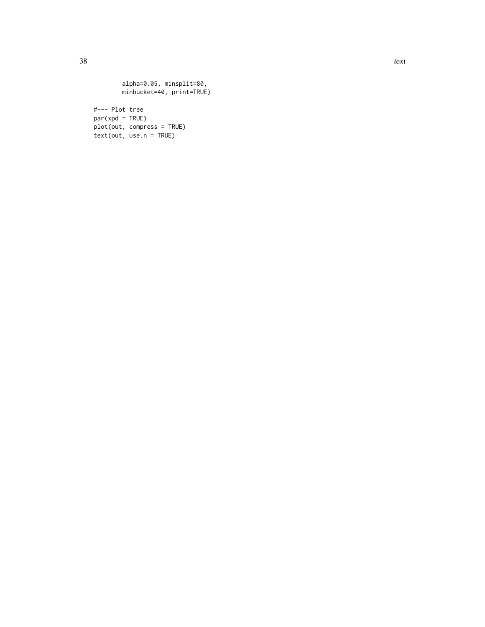alpha=0.05, minsplit=80, minbucket=40, print=TRUE) #--- Plot tree  $par(xpd = TRUE)$ plot(out, compress = TRUE)  $text(out, use.n = TRUE)$ 

38 text to the contract of the contract of the contract of the contract of the contract of the contract of the contract of the contract of the contract of the contract of the contract of the contract of the contract of the